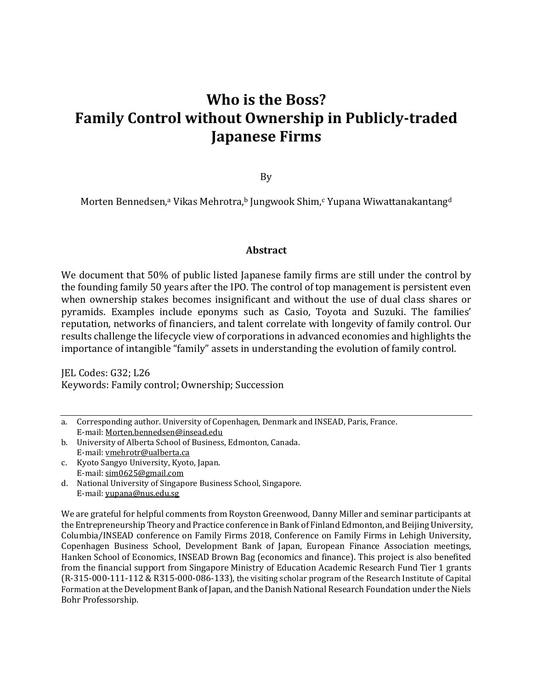# **Who is the Boss? Family Control without Ownership in Publicly-traded Japanese Firms**

By

Morten Bennedsen,<sup>a</sup> Vikas Mehrotra,<sup>b</sup> Jungwook Shim,<sup>c</sup> Yupana Wiwattanakantang<sup>d</sup>

#### **Abstract**

We document that 50% of public listed Japanese family firms are still under the control by the founding family 50 years after the IPO. The control of top management is persistent even when ownership stakes becomes insignificant and without the use of dual class shares or pyramids. Examples include eponyms such as Casio, Toyota and Suzuki. The families' reputation, networks of financiers, and talent correlate with longevity of family control. Our results challenge the lifecycle view of corporations in advanced economies and highlights the importance of intangible "family" assets in understanding the evolution of family control.

JEL Codes: G32; L26 Keywords: Family control; Ownership; Succession

- b. University of Alberta School of Business, Edmonton, Canada. E-mail[: vmehrotr@ualberta.ca](mailto:vmehrotr@ualberta.ca)
- c. Kyoto Sangyo University, Kyoto, Japan. E-mail[: sim0625@gmail.com](mailto:sim0625@gmail.com)
- d. National University of Singapore Business School, Singapore. E-mail[: yupana@nus.edu.sg](mailto:yupana@nus.edu.sg)

We are grateful for helpful comments from Royston Greenwood, Danny Miller and seminar participants at the Entrepreneurship Theory and Practice conference in Bank of Finland Edmonton, and Beijing University, Columbia/INSEAD conference on Family Firms 2018, Conference on Family Firms in Lehigh University, Copenhagen Business School, Development Bank of Japan, European Finance Association meetings, Hanken School of Economics, INSEAD Brown Bag (economics and finance). This project is also benefited from the financial support from Singapore Ministry of Education Academic Research Fund Tier 1 grants (R-315-000-111-112 & R315-000-086-133), the visiting scholar program of the Research Institute of Capital Formation at the Development Bank of Japan, and the Danish National Research Foundation under the Niels Bohr Professorship.

a. Corresponding author. University of Copenhagen, Denmark and INSEAD, Paris, France. E-mail[: Morten.bennedsen@insead.edu](mailto:Morten.bennedsen@insead.edu)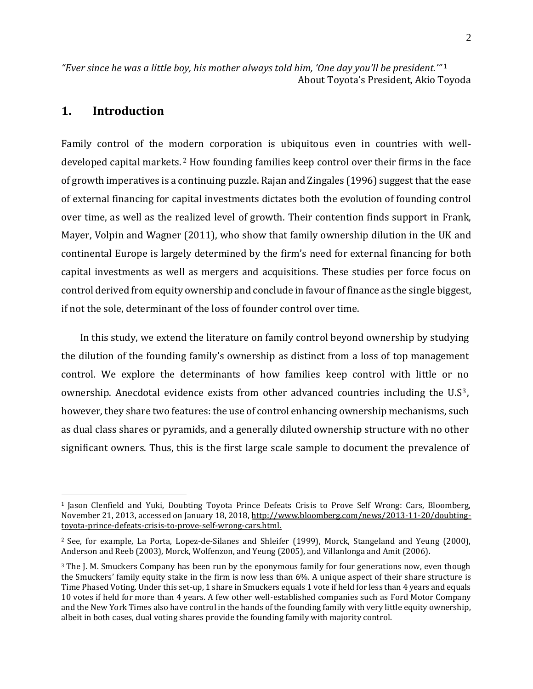*"Ever since he was a little boy, his mother always told him, 'One day you'll be president.'"* <sup>1</sup> About Toyota's President, Akio Toyoda

## **1. Introduction**

 $\overline{a}$ 

Family control of the modern corporation is ubiquitous even in countries with welldeveloped capital markets. <sup>2</sup> How founding families keep control over their firms in the face of growth imperatives is a continuing puzzle. Rajan and Zingales (1996) suggest that the ease of external financing for capital investments dictates both the evolution of founding control over time, as well as the realized level of growth. Their contention finds support in Frank, Mayer, Volpin and Wagner (2011), who show that family ownership dilution in the UK and continental Europe is largely determined by the firm's need for external financing for both capital investments as well as mergers and acquisitions. These studies per force focus on control derived from equity ownership and conclude in favour of finance as the single biggest, if not the sole, determinant of the loss of founder control over time.

In this study, we extend the literature on family control beyond ownership by studying the dilution of the founding family's ownership as distinct from a loss of top management control. We explore the determinants of how families keep control with little or no ownership. Anecdotal evidence exists from other advanced countries including the U.S3, however, they share two features: the use of control enhancing ownership mechanisms, such as dual class shares or pyramids, and a generally diluted ownership structure with no other significant owners. Thus, this is the first large scale sample to document the prevalence of

<sup>1</sup> Jason Clenfield and Yuki, Doubting Toyota Prince Defeats Crisis to Prove Self Wrong: Cars, Bloomberg, November 21, 2013, accessed on January 18, 2018, [http://www.bloomberg.com/news/2013-11-20/doubting](http://www.bloomberg.com/news/2013-11-20/doubting-toyota-prince-defeats-crisis-to-prove-self-wrong-cars.html)[toyota-prince-defeats-crisis-to-prove-self-wrong-cars.html.](http://www.bloomberg.com/news/2013-11-20/doubting-toyota-prince-defeats-crisis-to-prove-self-wrong-cars.html)

<sup>2</sup> See, for example, La Porta, Lopez-de-Silanes and Shleifer (1999), Morck, Stangeland and Yeung (2000), Anderson and Reeb (2003), Morck, Wolfenzon, and Yeung (2005), and Villanlonga and Amit (2006).

<sup>&</sup>lt;sup>3</sup> The J. M. Smuckers Company has been run by the eponymous family for four generations now, even though the Smuckers' family equity stake in the firm is now less than 6%. A unique aspect of their share structure is Time Phased Voting. Under this set-up, 1 share in Smuckers equals 1 vote if held for less than 4 years and equals 10 votes if held for more than 4 years. A few other well-established companies such as Ford Motor Company and the New York Times also have control in the hands of the founding family with very little equity ownership, albeit in both cases, dual voting shares provide the founding family with majority control.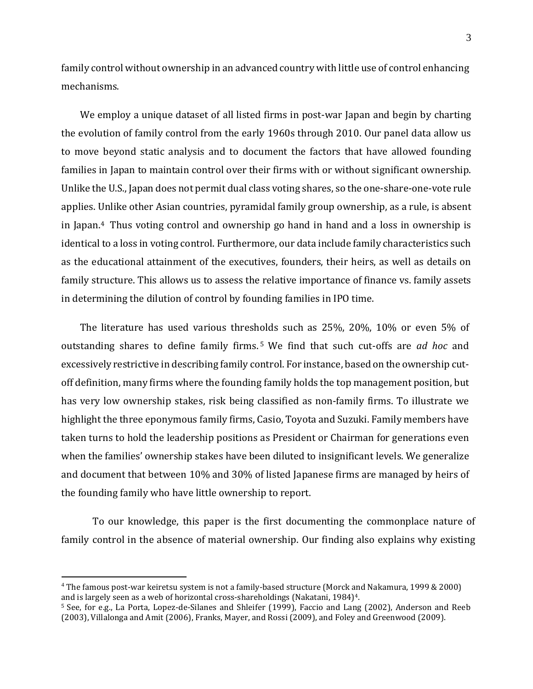family control without ownership in an advanced country with little use of control enhancing mechanisms.

We employ a unique dataset of all listed firms in post-war Japan and begin by charting the evolution of family control from the early 1960s through 2010. Our panel data allow us to move beyond static analysis and to document the factors that have allowed founding families in Japan to maintain control over their firms with or without significant ownership. Unlike the U.S., Japan does not permit dual class voting shares, so the one-share-one-vote rule applies. Unlike other Asian countries, pyramidal family group ownership, as a rule, is absent in Japan.<sup>4</sup> Thus voting control and ownership go hand in hand and a loss in ownership is identical to a loss in voting control. Furthermore, our data include family characteristics such as the educational attainment of the executives, founders, their heirs, as well as details on family structure. This allows us to assess the relative importance of finance vs. family assets in determining the dilution of control by founding families in IPO time.

The literature has used various thresholds such as 25%, 20%, 10% or even 5% of outstanding shares to define family firms. <sup>5</sup> We find that such cut-offs are *ad hoc* and excessively restrictive in describing family control. For instance, based on the ownership cutoff definition, many firms where the founding family holds the top management position, but has very low ownership stakes, risk being classified as non-family firms. To illustrate we highlight the three eponymous family firms, Casio, Toyota and Suzuki. Family members have taken turns to hold the leadership positions as President or Chairman for generations even when the families' ownership stakes have been diluted to insignificant levels. We generalize and document that between 10% and 30% of listed Japanese firms are managed by heirs of the founding family who have little ownership to report.

To our knowledge, this paper is the first documenting the commonplace nature of family control in the absence of material ownership. Our finding also explains why existing

<sup>4</sup> The famous post-war keiretsu system is not a family-based structure (Morck and Nakamura, 1999 & 2000) and is largely seen as a web of horizontal cross-shareholdings (Nakatani, 1984)4.

<sup>5</sup> See, for e.g., La Porta, Lopez-de-Silanes and Shleifer (1999), Faccio and Lang (2002), Anderson and Reeb (2003), Villalonga and Amit (2006), Franks, Mayer, and Rossi (2009), and Foley and Greenwood (2009).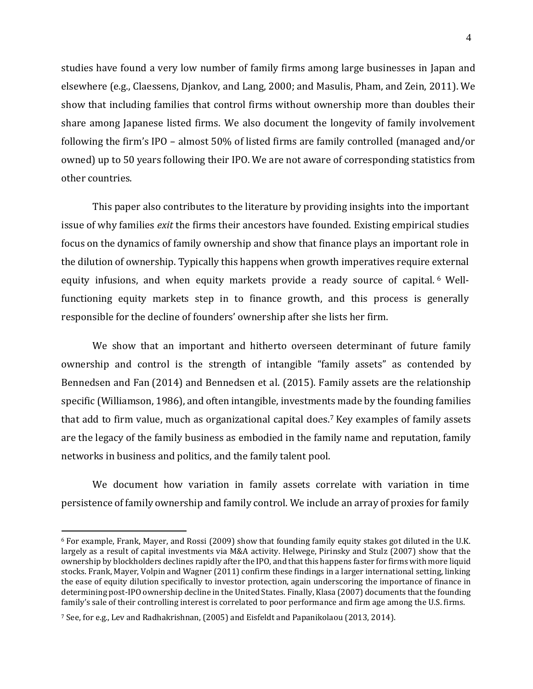studies have found a very low number of family firms among large businesses in Japan and elsewhere (e.g., Claessens, Djankov, and Lang, 2000; and Masulis, Pham, and Zein, 2011). We show that including families that control firms without ownership more than doubles their share among Japanese listed firms. We also document the longevity of family involvement following the firm's IPO – almost 50% of listed firms are family controlled (managed and/or owned) up to 50 years following their IPO. We are not aware of corresponding statistics from other countries.

This paper also contributes to the literature by providing insights into the important issue of why families *exit* the firms their ancestors have founded. Existing empirical studies focus on the dynamics of family ownership and show that finance plays an important role in the dilution of ownership. Typically this happens when growth imperatives require external equity infusions, and when equity markets provide a ready source of capital. <sup>6</sup> Wellfunctioning equity markets step in to finance growth, and this process is generally responsible for the decline of founders' ownership after she lists her firm.

We show that an important and hitherto overseen determinant of future family ownership and control is the strength of intangible "family assets" as contended by Bennedsen and Fan (2014) and Bennedsen et al. (2015). Family assets are the relationship specific (Williamson, 1986), and often intangible, investments made by the founding families that add to firm value, much as organizational capital does. <sup>7</sup> Key examples of family assets are the legacy of the family business as embodied in the family name and reputation, family networks in business and politics, and the family talent pool.

We document how variation in family assets correlate with variation in time persistence of family ownership and family control. We include an array of proxies for family

<sup>6</sup> For example, Frank, Mayer, and Rossi (2009) show that founding family equity stakes got diluted in the U.K. largely as a result of capital investments via M&A activity. Helwege, Pirinsky and Stulz (2007) show that the ownership by blockholders declines rapidly after the IPO, and that this happens faster for firms with more liquid stocks. Frank, Mayer, Volpin and Wagner (2011) confirm these findings in a larger international setting, linking the ease of equity dilution specifically to investor protection, again underscoring the importance of finance in determining post-IPO ownership decline in the United States. Finally, Klasa (2007) documents that the founding family's sale of their controlling interest is correlated to poor performance and firm age among the U.S. firms.

<sup>7</sup> See, for e.g., Lev and Radhakrishnan, (2005) and Eisfeldt and Papanikolaou (2013, 2014).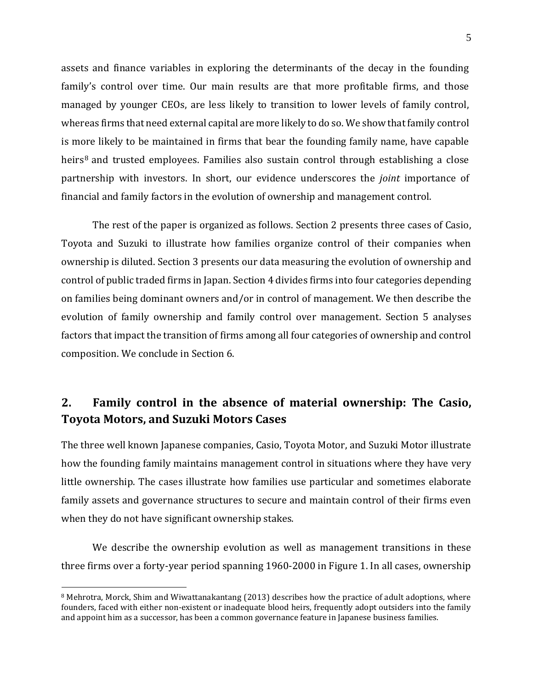assets and finance variables in exploring the determinants of the decay in the founding family's control over time. Our main results are that more profitable firms, and those managed by younger CEOs, are less likely to transition to lower levels of family control, whereas firms that need external capital are more likely to do so. We show that family control is more likely to be maintained in firms that bear the founding family name, have capable heirs<sup>8</sup> and trusted employees. Families also sustain control through establishing a close partnership with investors. In short, our evidence underscores the *joint* importance of financial and family factors in the evolution of ownership and management control.

The rest of the paper is organized as follows. Section 2 presents three cases of Casio, Toyota and Suzuki to illustrate how families organize control of their companies when ownership is diluted. Section 3 presents our data measuring the evolution of ownership and control of public traded firms in Japan. Section 4 divides firms into four categories depending on families being dominant owners and/or in control of management. We then describe the evolution of family ownership and family control over management. Section 5 analyses factors that impact the transition of firms among all four categories of ownership and control composition. We conclude in Section 6.

# **2. Family control in the absence of material ownership: The Casio, Toyota Motors, and Suzuki Motors Cases**

The three well known Japanese companies, Casio, Toyota Motor, and Suzuki Motor illustrate how the founding family maintains management control in situations where they have very little ownership. The cases illustrate how families use particular and sometimes elaborate family assets and governance structures to secure and maintain control of their firms even when they do not have significant ownership stakes.

We describe the ownership evolution as well as management transitions in these three firms over a forty-year period spanning 1960-2000 in Figure 1. In all cases, ownership

<sup>&</sup>lt;sup>8</sup> Mehrotra, Morck, Shim and Wiwattanakantang (2013) describes how the practice of adult adoptions, where founders, faced with either non-existent or inadequate blood heirs, frequently adopt outsiders into the family and appoint him as a successor, has been a common governance feature in Japanese business families.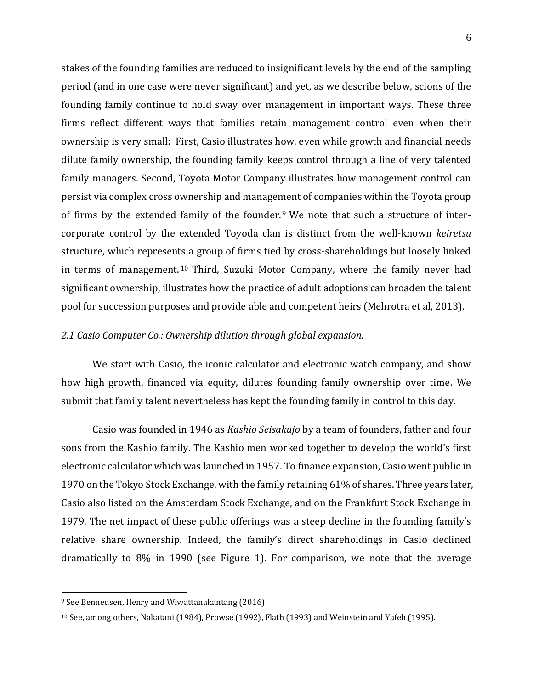stakes of the founding families are reduced to insignificant levels by the end of the sampling period (and in one case were never significant) and yet, as we describe below, scions of the founding family continue to hold sway over management in important ways. These three firms reflect different ways that families retain management control even when their ownership is very small: First, Casio illustrates how, even while growth and financial needs dilute family ownership, the founding family keeps control through a line of very talented family managers. Second, Toyota Motor Company illustrates how management control can persist via complex cross ownership and management of companies within the Toyota group of firms by the extended family of the founder.<sup>9</sup> We note that such a structure of intercorporate control by the extended Toyoda clan is distinct from the well-known *keiretsu* structure, which represents a group of firms tied by cross-shareholdings but loosely linked in terms of management. <sup>10</sup> Third, Suzuki Motor Company, where the family never had significant ownership, illustrates how the practice of adult adoptions can broaden the talent pool for succession purposes and provide able and competent heirs (Mehrotra et al, 2013).

#### *2.1 Casio Computer Co.: Ownership dilution through global expansion.*

We start with Casio, the iconic calculator and electronic watch company, and show how high growth, financed via equity, dilutes founding family ownership over time. We submit that family talent nevertheless has kept the founding family in control to this day.

Casio was founded in 1946 as *Kashio Seisakujo* by a team of founders, father and four sons from the Kashio family. The Kashio men worked together to develop the world's first electronic calculator which was launched in 1957. To finance expansion, Casio went public in 1970 on the Tokyo Stock Exchange, with the family retaining 61% of shares. Three years later, Casio also listed on the Amsterdam Stock Exchange, and on the Frankfurt Stock Exchange in 1979. The net impact of these public offerings was a steep decline in the founding family's relative share ownership. Indeed, the family's direct shareholdings in Casio declined dramatically to 8% in 1990 (see Figure 1). For comparison, we note that the average

<sup>9</sup> See Bennedsen, Henry and Wiwattanakantang (2016).

<sup>10</sup> See, among others, Nakatani (1984), Prowse (1992), Flath (1993) and Weinstein and Yafeh (1995).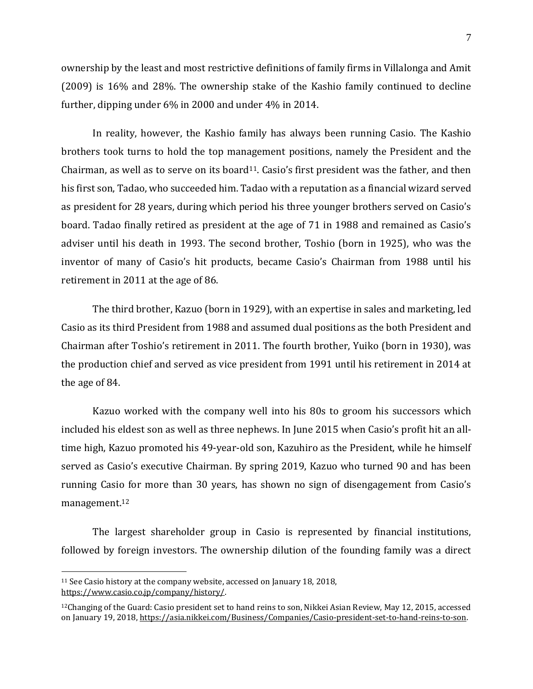ownership by the least and most restrictive definitions of family firms in Villalonga and Amit (2009) is 16% and 28%. The ownership stake of the Kashio family continued to decline further, dipping under 6% in 2000 and under 4% in 2014.

In reality, however, the Kashio family has always been running Casio. The Kashio brothers took turns to hold the top management positions, namely the President and the Chairman, as well as to serve on its board<sup>11</sup>. Casio's first president was the father, and then his first son, Tadao, who succeeded him. Tadao with a reputation as a financial wizard served as president for 28 years, during which period his three younger brothers served on Casio's board. Tadao finally retired as president at the age of 71 in 1988 and remained as Casio's adviser until his death in 1993. The second brother, Toshio (born in 1925), who was the inventor of many of Casio's hit products, became Casio's Chairman from 1988 until his retirement in 2011 at the age of 86.

The third brother, Kazuo (born in 1929), with an expertise in sales and marketing, led Casio as its third President from 1988 and assumed dual positions as the both President and Chairman after Toshio's retirement in 2011. The fourth brother, Yuiko (born in 1930), was the production chief and served as vice president from 1991 until his retirement in 2014 at the age of 84.

Kazuo worked with the company well into his 80s to groom his successors which included his eldest son as well as three nephews. In June 2015 when Casio's profit hit an alltime high, Kazuo promoted his 49-year-old son, Kazuhiro as the President, while he himself served as Casio's executive Chairman. By spring 2019, Kazuo who turned 90 and has been running Casio for more than 30 years, has shown no sign of disengagement from Casio's management.<sup>12</sup>

The largest shareholder group in Casio is represented by financial institutions, followed by foreign investors. The ownership dilution of the founding family was a direct

<sup>11</sup> See Casio history at the company website, accessed on January 18, 2018, [https://www.casio.co.jp/company/history/.](https://www.casio.co.jp/company/history/)

<sup>12</sup>Changing of the Guard: Casio president set to hand reins to son, Nikkei Asian Review, May 12, 2015, accessed on January 19, 2018[, https://asia.nikkei.com/Business/Companies/Casio-president-set-to-hand-reins-to-son.](https://asia.nikkei.com/Business/Companies/Casio-president-set-to-hand-reins-to-son)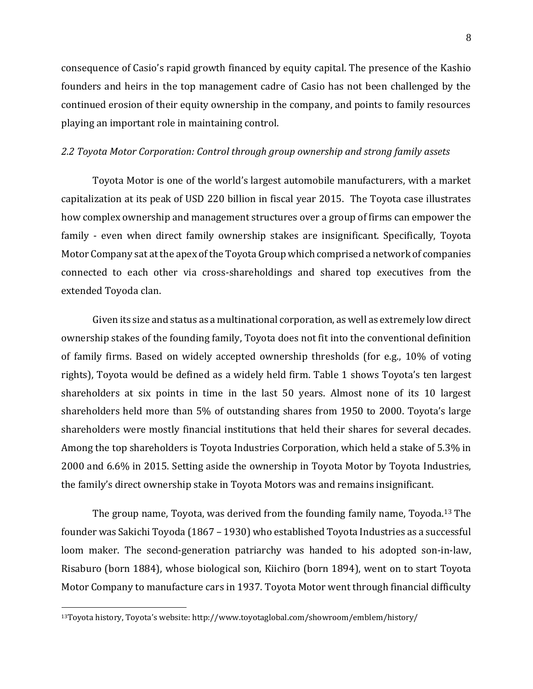consequence of Casio's rapid growth financed by equity capital. The presence of the Kashio founders and heirs in the top management cadre of Casio has not been challenged by the continued erosion of their equity ownership in the company, and points to family resources playing an important role in maintaining control.

#### *2.2 Toyota Motor Corporation: Control through group ownership and strong family assets*

Toyota Motor is one of the world's largest automobile manufacturers, with a market capitalization at its peak of USD 220 billion in fiscal year 2015. The Toyota case illustrates how complex ownership and management structures over a group of firms can empower the family - even when direct family ownership stakes are insignificant. Specifically, Toyota Motor Company sat at the apex of the Toyota Group which comprised a network of companies connected to each other via cross-shareholdings and shared top executives from the extended Toyoda clan.

Given its size and status as a multinational corporation, as well as extremely low direct ownership stakes of the founding family, Toyota does not fit into the conventional definition of family firms. Based on widely accepted ownership thresholds (for e.g., 10% of voting rights), Toyota would be defined as a widely held firm. Table 1 shows Toyota's ten largest shareholders at six points in time in the last 50 years. Almost none of its 10 largest shareholders held more than 5% of outstanding shares from 1950 to 2000. Toyota's large shareholders were mostly financial institutions that held their shares for several decades. Among the top shareholders is Toyota Industries Corporation, which held a stake of 5.3% in 2000 and 6.6% in 2015. Setting aside the ownership in Toyota Motor by Toyota Industries, the family's direct ownership stake in Toyota Motors was and remains insignificant.

The group name, Toyota, was derived from the founding family name, Toyoda.<sup>13</sup> The founder was Sakichi Toyoda (1867 – 1930) who established Toyota Industries as a successful loom maker. The second-generation patriarchy was handed to his adopted son-in-law, Risaburo (born 1884), whose biological son, Kiichiro (born 1894), went on to start Toyota Motor Company to manufacture cars in 1937. Toyota Motor went through financial difficulty

<sup>13</sup>Toyota history, Toyota's website: http://www.toyotaglobal.com/showroom/emblem/history/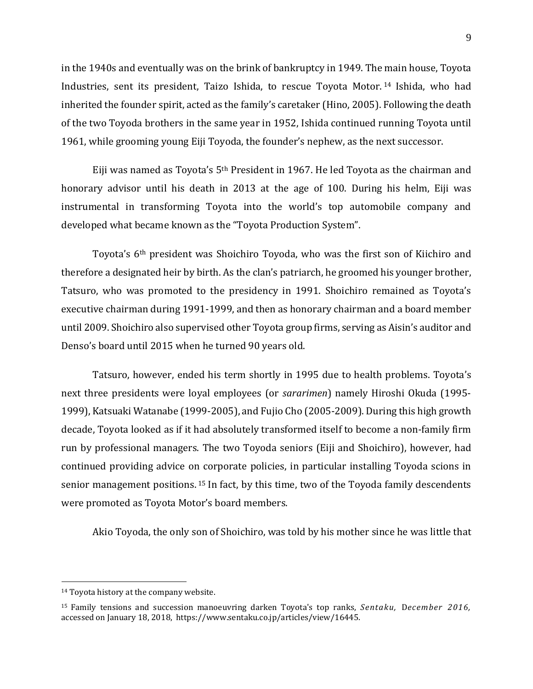in the 1940s and eventually was on the brink of bankruptcy in 1949. The main house, Toyota Industries, sent its president, Taizo Ishida, to rescue Toyota Motor. <sup>14</sup> Ishida, who had inherited the founder spirit, acted as the family's caretaker (Hino, 2005). Following the death of the two Toyoda brothers in the same year in 1952, Ishida continued running Toyota until 1961, while grooming young Eiji Toyoda, the founder's nephew, as the next successor.

Eiji was named as Toyota's 5th President in 1967. He led Toyota as the chairman and honorary advisor until his death in 2013 at the age of 100. During his helm, Eiji was instrumental in transforming Toyota into the world's top automobile company and developed what became known as the "Toyota Production System".

Toyota's 6th president was Shoichiro Toyoda, who was the first son of Kiichiro and therefore a designated heir by birth. As the clan's patriarch, he groomed his younger brother, Tatsuro, who was promoted to the presidency in 1991. Shoichiro remained as Toyota's executive chairman during 1991-1999, and then as honorary chairman and a board member until 2009. Shoichiro also supervised other Toyota group firms, serving as Aisin's auditor and Denso's board until 2015 when he turned 90 years old.

Tatsuro, however, ended his term shortly in 1995 due to health problems. Toyota's next three presidents were loyal employees (or *sararimen*) namely Hiroshi Okuda (1995- 1999), Katsuaki Watanabe (1999-2005), and Fujio Cho (2005-2009). During this high growth decade, Toyota looked as if it had absolutely transformed itself to become a non-family firm run by professional managers. The two Toyoda seniors (Eiji and Shoichiro), however, had continued providing advice on corporate policies, in particular installing Toyoda scions in senior management positions. <sup>15</sup> In fact, by this time, two of the Toyoda family descendents were promoted as Toyota Motor's board members.

Akio Toyoda, the only son of Shoichiro, was told by his mother since he was little that

<sup>14</sup> Toyota history at the company website.

<sup>15</sup> Family tensions and succession manoeuvring darken Toyota's top ranks, *Sentaku,* D*ecember 2016,*  accessed on January 18, 2018, https://www.sentaku.co.jp/articles/view/16445.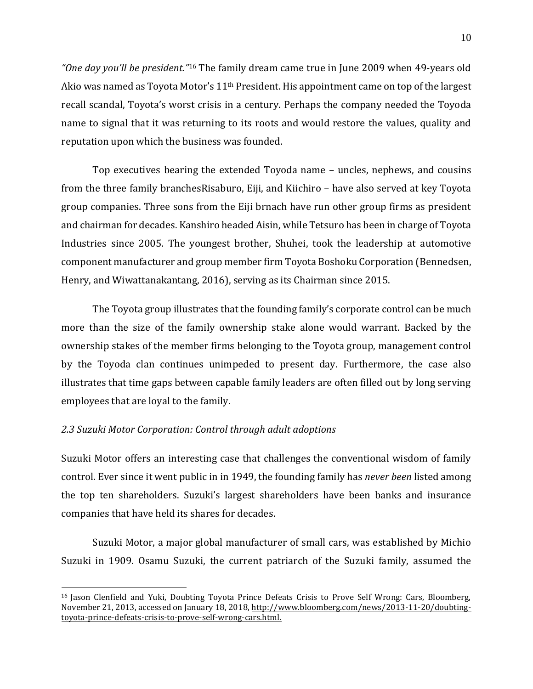*"One day you'll be president."*<sup>16</sup> The family dream came true in June 2009 when 49-years old Akio was named as Toyota Motor's 11th President. His appointment came on top of the largest recall scandal, Toyota's worst crisis in a century. Perhaps the company needed the Toyoda name to signal that it was returning to its roots and would restore the values, quality and reputation upon which the business was founded.

Top executives bearing the extended Toyoda name – uncles, nephews, and cousins from the three family branchesRisaburo, Eiji, and Kiichiro – have also served at key Toyota group companies. Three sons from the Eiji brnach have run other group firms as president and chairman for decades. Kanshiro headed Aisin, while Tetsuro has been in charge of Toyota Industries since 2005. The youngest brother, Shuhei, took the leadership at automotive component manufacturer and group member firm Toyota Boshoku Corporation (Bennedsen, Henry, and Wiwattanakantang, 2016), serving as its Chairman since 2015.

The Toyota group illustrates that the founding family's corporate control can be much more than the size of the family ownership stake alone would warrant. Backed by the ownership stakes of the member firms belonging to the Toyota group, management control by the Toyoda clan continues unimpeded to present day. Furthermore, the case also illustrates that time gaps between capable family leaders are often filled out by long serving employees that are loyal to the family.

#### *2.3 Suzuki Motor Corporation: Control through adult adoptions*

 $\overline{a}$ 

Suzuki Motor offers an interesting case that challenges the conventional wisdom of family control. Ever since it went public in in 1949, the founding family has *never been* listed among the top ten shareholders. Suzuki's largest shareholders have been banks and insurance companies that have held its shares for decades.

Suzuki Motor, a major global manufacturer of small cars, was established by Michio Suzuki in 1909. Osamu Suzuki, the current patriarch of the Suzuki family, assumed the

<sup>&</sup>lt;sup>16</sup> Jason Clenfield and Yuki, Doubting Toyota Prince Defeats Crisis to Prove Self Wrong: Cars, Bloomberg, November 21, 2013, accessed on January 18, 2018, [http://www.bloomberg.com/news/2013-11-20/doubting](http://www.bloomberg.com/news/2013-11-20/doubting-toyota-prince-defeats-crisis-to-prove-self-wrong-cars.html)[toyota-prince-defeats-crisis-to-prove-self-wrong-cars.html.](http://www.bloomberg.com/news/2013-11-20/doubting-toyota-prince-defeats-crisis-to-prove-self-wrong-cars.html)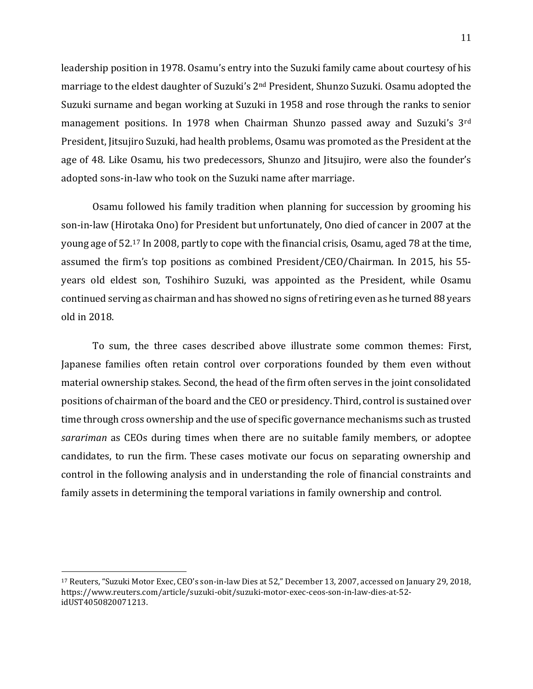leadership position in 1978. Osamu's entry into the Suzuki family came about courtesy of his marriage to the eldest daughter of Suzuki's 2nd President, Shunzo Suzuki. Osamu adopted the Suzuki surname and began working at Suzuki in 1958 and rose through the ranks to senior management positions. In 1978 when Chairman Shunzo passed away and Suzuki's 3rd President, Jitsujiro Suzuki, had health problems, Osamu was promoted as the President at the age of 48. Like Osamu, his two predecessors, Shunzo and Jitsujiro, were also the founder's adopted sons-in-law who took on the Suzuki name after marriage.

Osamu followed his family tradition when planning for succession by grooming his son-in-law (Hirotaka Ono) for President but unfortunately, Ono died of cancer in 2007 at the young age of 52. <sup>17</sup> In 2008, partly to cope with the financial crisis, Osamu, aged 78 at the time, assumed the firm's top positions as combined President/CEO/Chairman. In 2015, his 55 years old eldest son, Toshihiro Suzuki, was appointed as the President, while Osamu continued serving as chairman and has showed no signs of retiring even as he turned 88 years old in 2018.

To sum, the three cases described above illustrate some common themes: First, Japanese families often retain control over corporations founded by them even without material ownership stakes. Second, the head of the firm often serves in the joint consolidated positions of chairman of the board and the CEO or presidency. Third, control is sustained over time through cross ownership and the use of specific governance mechanisms such as trusted *sarariman* as CEOs during times when there are no suitable family members, or adoptee candidates, to run the firm. These cases motivate our focus on separating ownership and control in the following analysis and in understanding the role of financial constraints and family assets in determining the temporal variations in family ownership and control.

<sup>17</sup> Reuters, "Suzuki Motor Exec, CEO's son-in-law Dies at 52," December 13, 2007, accessed on January 29, 2018, https://www.reuters.com/article/suzuki-obit/suzuki-motor-exec-ceos-son-in-law-dies-at-52 idUST4050820071213.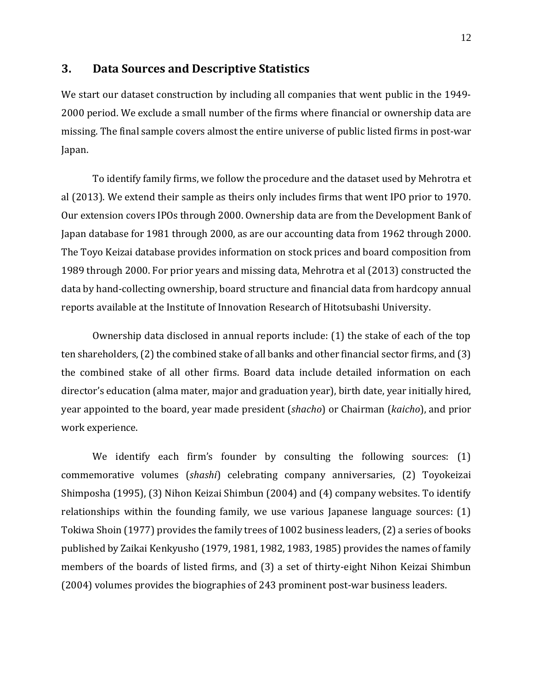## **3. Data Sources and Descriptive Statistics**

We start our dataset construction by including all companies that went public in the 1949- 2000 period. We exclude a small number of the firms where financial or ownership data are missing. The final sample covers almost the entire universe of public listed firms in post-war Japan.

To identify family firms, we follow the procedure and the dataset used by Mehrotra et al (2013). We extend their sample as theirs only includes firms that went IPO prior to 1970. Our extension covers IPOs through 2000. Ownership data are from the Development Bank of Japan database for 1981 through 2000, as are our accounting data from 1962 through 2000. The Toyo Keizai database provides information on stock prices and board composition from 1989 through 2000. For prior years and missing data, Mehrotra et al (2013) constructed the data by hand-collecting ownership, board structure and financial data from hardcopy annual reports available at the Institute of Innovation Research of Hitotsubashi University.

Ownership data disclosed in annual reports include: (1) the stake of each of the top ten shareholders, (2) the combined stake of all banks and other financial sector firms, and (3) the combined stake of all other firms. Board data include detailed information on each director's education (alma mater, major and graduation year), birth date, year initially hired, year appointed to the board, year made president (*shacho*) or Chairman (*kaicho*), and prior work experience.

We identify each firm's founder by consulting the following sources: (1) commemorative volumes (*shashi*) celebrating company anniversaries, (2) Toyokeizai Shimposha (1995), (3) Nihon Keizai Shimbun (2004) and (4) company websites. To identify relationships within the founding family, we use various Japanese language sources: (1) Tokiwa Shoin (1977) provides the family trees of 1002 business leaders, (2) a series of books published by Zaikai Kenkyusho (1979, 1981, 1982, 1983, 1985) provides the names of family members of the boards of listed firms, and (3) a set of thirty-eight Nihon Keizai Shimbun (2004) volumes provides the biographies of 243 prominent post-war business leaders.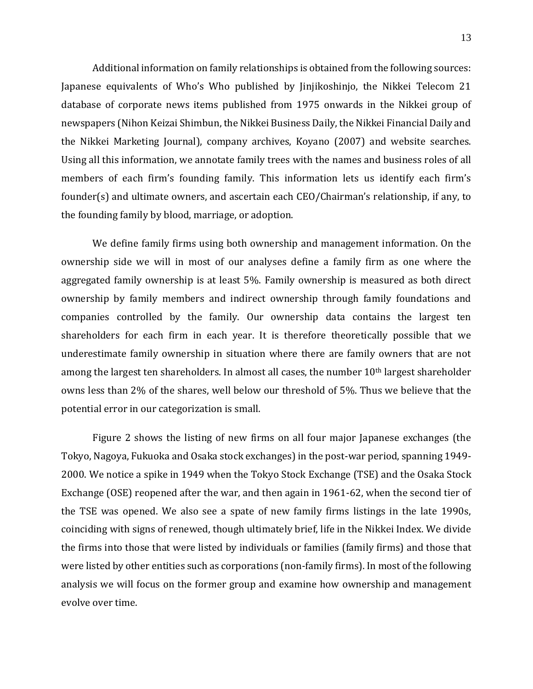Additional information on family relationships is obtained from the following sources: Japanese equivalents of Who's Who published by Jinjikoshinjo, the Nikkei Telecom 21 database of corporate news items published from 1975 onwards in the Nikkei group of newspapers (Nihon Keizai Shimbun, the Nikkei Business Daily, the Nikkei Financial Daily and the Nikkei Marketing Journal), company archives, Koyano (2007) and website searches. Using all this information, we annotate family trees with the names and business roles of all members of each firm's founding family. This information lets us identify each firm's founder(s) and ultimate owners, and ascertain each CEO/Chairman's relationship, if any, to the founding family by blood, marriage, or adoption.

We define family firms using both ownership and management information. On the ownership side we will in most of our analyses define a family firm as one where the aggregated family ownership is at least 5%. Family ownership is measured as both direct ownership by family members and indirect ownership through family foundations and companies controlled by the family. Our ownership data contains the largest ten shareholders for each firm in each year. It is therefore theoretically possible that we underestimate family ownership in situation where there are family owners that are not among the largest ten shareholders. In almost all cases, the number  $10<sup>th</sup>$  largest shareholder owns less than 2% of the shares, well below our threshold of 5%. Thus we believe that the potential error in our categorization is small.

Figure 2 shows the listing of new firms on all four major Japanese exchanges (the Tokyo, Nagoya, Fukuoka and Osaka stock exchanges) in the post-war period, spanning 1949- 2000. We notice a spike in 1949 when the Tokyo Stock Exchange (TSE) and the Osaka Stock Exchange (OSE) reopened after the war, and then again in 1961-62, when the second tier of the TSE was opened. We also see a spate of new family firms listings in the late 1990s, coinciding with signs of renewed, though ultimately brief, life in the Nikkei Index. We divide the firms into those that were listed by individuals or families (family firms) and those that were listed by other entities such as corporations (non-family firms). In most of the following analysis we will focus on the former group and examine how ownership and management evolve over time.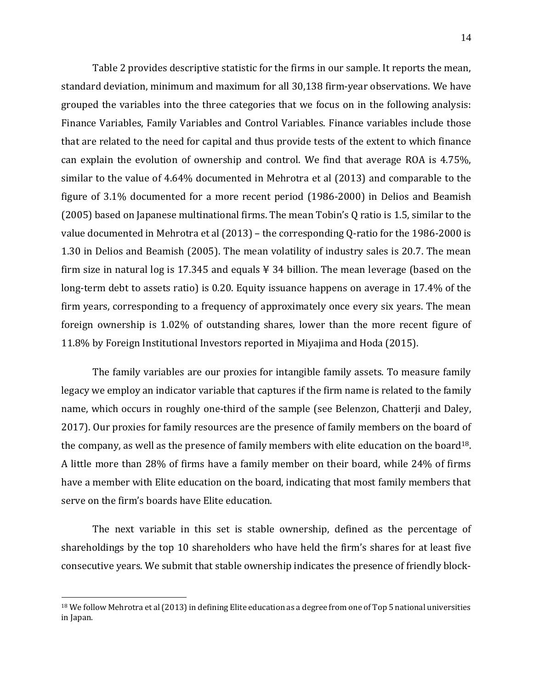Table 2 provides descriptive statistic for the firms in our sample. It reports the mean, standard deviation, minimum and maximum for all 30,138 firm-year observations. We have grouped the variables into the three categories that we focus on in the following analysis: Finance Variables, Family Variables and Control Variables. Finance variables include those that are related to the need for capital and thus provide tests of the extent to which finance can explain the evolution of ownership and control. We find that average ROA is 4.75%, similar to the value of 4.64% documented in Mehrotra et al (2013) and comparable to the figure of 3.1% documented for a more recent period (1986-2000) in Delios and Beamish (2005) based on Japanese multinational firms. The mean Tobin's Q ratio is 1.5, similar to the value documented in Mehrotra et al (2013) – the corresponding Q-ratio for the 1986-2000 is 1.30 in Delios and Beamish (2005). The mean volatility of industry sales is 20.7. The mean firm size in natural log is 17.345 and equals  $\frac{1}{2}$  34 billion. The mean leverage (based on the long-term debt to assets ratio) is 0.20. Equity issuance happens on average in 17.4% of the firm years, corresponding to a frequency of approximately once every six years. The mean foreign ownership is 1.02% of outstanding shares, lower than the more recent figure of 11.8% by Foreign Institutional Investors reported in Miyajima and Hoda (2015).

The family variables are our proxies for intangible family assets. To measure family legacy we employ an indicator variable that captures if the firm name is related to the family name, which occurs in roughly one-third of the sample (see Belenzon, Chatterji and Daley, 2017). Our proxies for family resources are the presence of family members on the board of the company, as well as the presence of family members with elite education on the board<sup>18</sup>. A little more than 28% of firms have a family member on their board, while 24% of firms have a member with Elite education on the board, indicating that most family members that serve on the firm's boards have Elite education.

The next variable in this set is stable ownership, defined as the percentage of shareholdings by the top 10 shareholders who have held the firm's shares for at least five consecutive years. We submit that stable ownership indicates the presence of friendly block-

 $18$  We follow Mehrotra et al (2013) in defining Elite education as a degree from one of Top 5 national universities in Japan.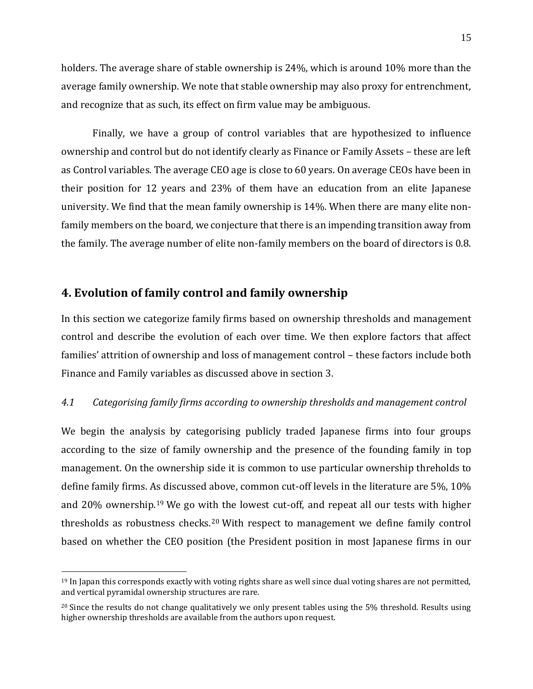holders. The average share of stable ownership is 24%, which is around 10% more than the average family ownership. We note that stable ownership may also proxy for entrenchment, and recognize that as such, its effect on firm value may be ambiguous.

Finally, we have a group of control variables that are hypothesized to influence ownership and control but do not identify clearly as Finance or Family Assets – these are left as Control variables. The average CEO age is close to 60 years. On average CEOs have been in their position for 12 years and 23% of them have an education from an elite Japanese university. We find that the mean family ownership is 14%. When there are many elite nonfamily members on the board, we conjecture that there is an impending transition away from the family. The average number of elite non-family members on the board of directors is 0.8.

# **4. Evolution of family control and family ownership**

 $\overline{a}$ 

In this section we categorize family firms based on ownership thresholds and management control and describe the evolution of each over time. We then explore factors that affect families' attrition of ownership and loss of management control – these factors include both Finance and Family variables as discussed above in section 3.

#### *4.1 Categorising family firms according to ownership thresholds and management control*

We begin the analysis by categorising publicly traded Japanese firms into four groups according to the size of family ownership and the presence of the founding family in top management. On the ownership side it is common to use particular ownership threholds to define family firms. As discussed above, common cut-off levels in the literature are 5%, 10% and 20% ownership. <sup>19</sup> We go with the lowest cut-off, and repeat all our tests with higher thresholds as robustness checks.20 With respect to management we define family control based on whether the CEO position (the President position in most Japanese firms in our

 $19$  In Japan this corresponds exactly with voting rights share as well since dual voting shares are not permitted, and vertical pyramidal ownership structures are rare.

<sup>&</sup>lt;sup>20</sup> Since the results do not change qualitatively we only present tables using the 5% threshold. Results using higher ownership thresholds are available from the authors upon request.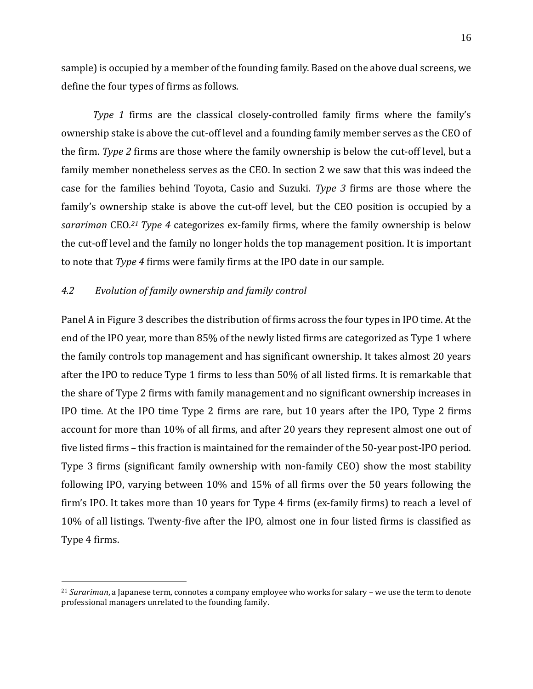sample) is occupied by a member of the founding family. Based on the above dual screens, we define the four types of firms as follows.

*Type 1* firms are the classical closely-controlled family firms where the family's ownership stake is above the cut-off level and a founding family member serves as the CEO of the firm. *Type 2* firms are those where the family ownership is below the cut-off level, but a family member nonetheless serves as the CEO. In section 2 we saw that this was indeed the case for the families behind Toyota, Casio and Suzuki. *Type 3* firms are those where the family's ownership stake is above the cut-off level, but the CEO position is occupied by a *sarariman* CEO*. <sup>21</sup> Type 4* categorizes ex-family firms, where the family ownership is below the cut-off level and the family no longer holds the top management position. It is important to note that *Type 4* firms were family firms at the IPO date in our sample.

#### *4.2 Evolution of family ownership and family control*

 $\overline{a}$ 

Panel A in Figure 3 describes the distribution of firms across the four types in IPO time. At the end of the IPO year, more than 85% of the newly listed firms are categorized as Type 1 where the family controls top management and has significant ownership. It takes almost 20 years after the IPO to reduce Type 1 firms to less than 50% of all listed firms. It is remarkable that the share of Type 2 firms with family management and no significant ownership increases in IPO time. At the IPO time Type 2 firms are rare, but 10 years after the IPO, Type 2 firms account for more than 10% of all firms, and after 20 years they represent almost one out of five listed firms – this fraction is maintained for the remainder of the 50-year post-IPO period. Type 3 firms (significant family ownership with non-family CEO) show the most stability following IPO, varying between 10% and 15% of all firms over the 50 years following the firm's IPO. It takes more than 10 years for Type 4 firms (ex-family firms) to reach a level of 10% of all listings. Twenty-five after the IPO, almost one in four listed firms is classified as Type 4 firms.

<sup>21</sup> *Sarariman*, a Japanese term, connotes a company employee who works for salary – we use the term to denote professional managers unrelated to the founding family.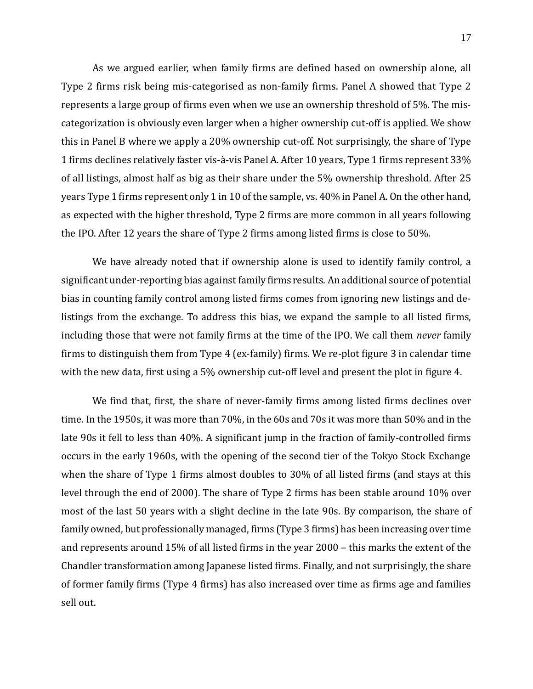As we argued earlier, when family firms are defined based on ownership alone, all Type 2 firms risk being mis-categorised as non-family firms. Panel A showed that Type 2 represents a large group of firms even when we use an ownership threshold of 5%. The miscategorization is obviously even larger when a higher ownership cut-off is applied. We show this in Panel B where we apply a 20% ownership cut-off. Not surprisingly, the share of Type 1 firms declines relatively faster vis-à-vis Panel A. After 10 years, Type 1 firms represent 33% of all listings, almost half as big as their share under the 5% ownership threshold. After 25 years Type 1 firms represent only 1 in 10 of the sample, vs. 40% in Panel A. On the other hand, as expected with the higher threshold, Type 2 firms are more common in all years following the IPO. After 12 years the share of Type 2 firms among listed firms is close to 50%.

We have already noted that if ownership alone is used to identify family control, a significant under-reporting bias against family firms results. An additional source of potential bias in counting family control among listed firms comes from ignoring new listings and delistings from the exchange. To address this bias, we expand the sample to all listed firms, including those that were not family firms at the time of the IPO. We call them *never* family firms to distinguish them from Type 4 (ex-family) firms. We re-plot figure 3 in calendar time with the new data, first using a 5% ownership cut-off level and present the plot in figure 4.

We find that, first, the share of never-family firms among listed firms declines over time. In the 1950s, it was more than 70%, in the 60s and 70s it was more than 50% and in the late 90s it fell to less than 40%. A significant jump in the fraction of family-controlled firms occurs in the early 1960s, with the opening of the second tier of the Tokyo Stock Exchange when the share of Type 1 firms almost doubles to 30% of all listed firms (and stays at this level through the end of 2000). The share of Type 2 firms has been stable around 10% over most of the last 50 years with a slight decline in the late 90s. By comparison, the share of family owned, but professionally managed, firms (Type 3 firms) has been increasing over time and represents around 15% of all listed firms in the year 2000 – this marks the extent of the Chandler transformation among Japanese listed firms. Finally, and not surprisingly, the share of former family firms (Type 4 firms) has also increased over time as firms age and families sell out.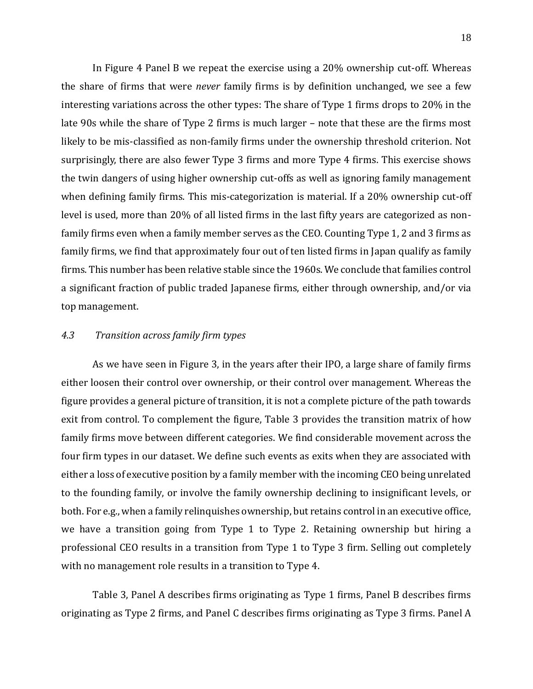In Figure 4 Panel B we repeat the exercise using a 20% ownership cut-off. Whereas the share of firms that were *never* family firms is by definition unchanged, we see a few interesting variations across the other types: The share of Type 1 firms drops to 20% in the late 90s while the share of Type 2 firms is much larger – note that these are the firms most likely to be mis-classified as non-family firms under the ownership threshold criterion. Not surprisingly, there are also fewer Type 3 firms and more Type 4 firms. This exercise shows the twin dangers of using higher ownership cut-offs as well as ignoring family management when defining family firms. This mis-categorization is material. If a 20% ownership cut-off level is used, more than 20% of all listed firms in the last fifty years are categorized as nonfamily firms even when a family member serves as the CEO. Counting Type 1, 2 and 3 firms as family firms, we find that approximately four out of ten listed firms in Japan qualify as family firms. This number has been relative stable since the 1960s. We conclude that families control a significant fraction of public traded Japanese firms, either through ownership, and/or via top management.

#### *4.3 Transition across family firm types*

As we have seen in Figure 3, in the years after their IPO, a large share of family firms either loosen their control over ownership, or their control over management. Whereas the figure provides a general picture of transition, it is not a complete picture of the path towards exit from control. To complement the figure, Table 3 provides the transition matrix of how family firms move between different categories. We find considerable movement across the four firm types in our dataset. We define such events as exits when they are associated with either a loss of executive position by a family member with the incoming CEO being unrelated to the founding family, or involve the family ownership declining to insignificant levels, or both. For e.g., when a family relinquishes ownership, but retains control in an executive office, we have a transition going from Type 1 to Type 2. Retaining ownership but hiring a professional CEO results in a transition from Type 1 to Type 3 firm. Selling out completely with no management role results in a transition to Type 4.

Table 3, Panel A describes firms originating as Type 1 firms, Panel B describes firms originating as Type 2 firms, and Panel C describes firms originating as Type 3 firms. Panel A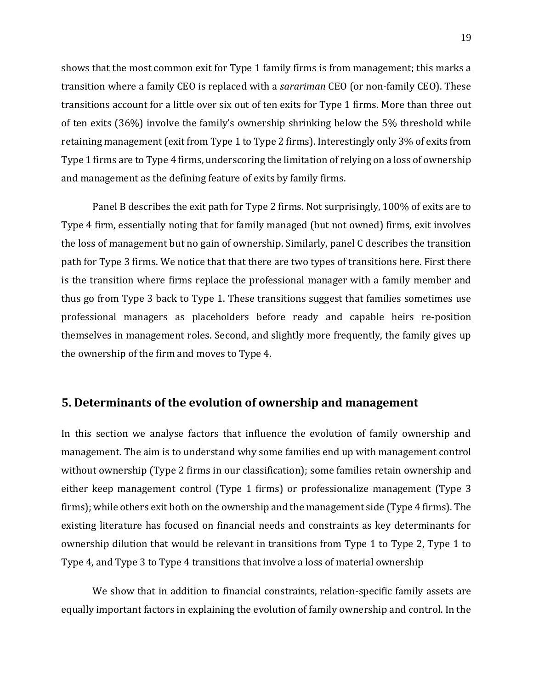shows that the most common exit for Type 1 family firms is from management; this marks a transition where a family CEO is replaced with a *sarariman* CEO (or non-family CEO). These transitions account for a little over six out of ten exits for Type 1 firms. More than three out of ten exits (36%) involve the family's ownership shrinking below the 5% threshold while retaining management (exit from Type 1 to Type 2 firms). Interestingly only 3% of exits from Type 1 firms are to Type 4 firms, underscoring the limitation of relying on a loss of ownership and management as the defining feature of exits by family firms.

Panel B describes the exit path for Type 2 firms. Not surprisingly, 100% of exits are to Type 4 firm, essentially noting that for family managed (but not owned) firms, exit involves the loss of management but no gain of ownership. Similarly, panel C describes the transition path for Type 3 firms. We notice that that there are two types of transitions here. First there is the transition where firms replace the professional manager with a family member and thus go from Type 3 back to Type 1. These transitions suggest that families sometimes use professional managers as placeholders before ready and capable heirs re-position themselves in management roles. Second, and slightly more frequently, the family gives up the ownership of the firm and moves to Type 4.

## **5. Determinants of the evolution of ownership and management**

In this section we analyse factors that influence the evolution of family ownership and management. The aim is to understand why some families end up with management control without ownership (Type 2 firms in our classification); some families retain ownership and either keep management control (Type 1 firms) or professionalize management (Type 3 firms); while others exit both on the ownership and the management side (Type 4 firms). The existing literature has focused on financial needs and constraints as key determinants for ownership dilution that would be relevant in transitions from Type 1 to Type 2, Type 1 to Type 4, and Type 3 to Type 4 transitions that involve a loss of material ownership

We show that in addition to financial constraints, relation-specific family assets are equally important factors in explaining the evolution of family ownership and control. In the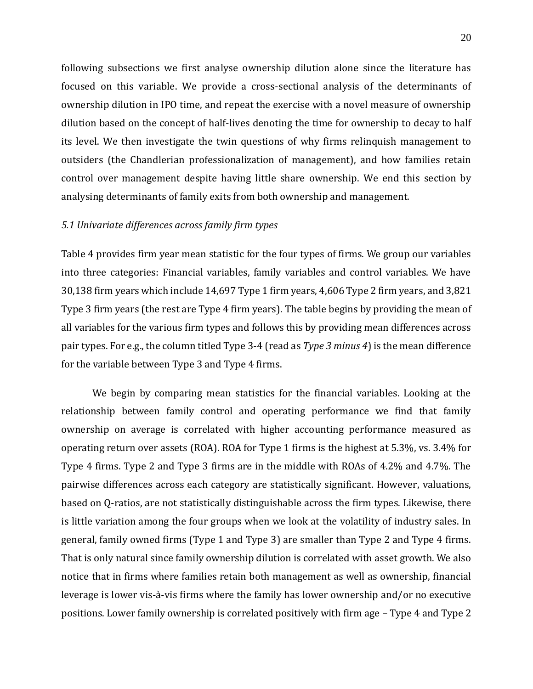following subsections we first analyse ownership dilution alone since the literature has focused on this variable. We provide a cross-sectional analysis of the determinants of ownership dilution in IPO time, and repeat the exercise with a novel measure of ownership dilution based on the concept of half-lives denoting the time for ownership to decay to half its level. We then investigate the twin questions of why firms relinquish management to outsiders (the Chandlerian professionalization of management), and how families retain control over management despite having little share ownership. We end this section by analysing determinants of family exits from both ownership and management.

#### *5.1 Univariate differences across family firm types*

Table 4 provides firm year mean statistic for the four types of firms. We group our variables into three categories: Financial variables, family variables and control variables. We have 30,138 firm years which include 14,697 Type 1 firm years, 4,606 Type 2 firm years, and 3,821 Type 3 firm years (the rest are Type 4 firm years). The table begins by providing the mean of all variables for the various firm types and follows this by providing mean differences across pair types. For e.g., the column titled Type 3-4 (read as *Type 3 minus 4*) is the mean difference for the variable between Type 3 and Type 4 firms.

We begin by comparing mean statistics for the financial variables. Looking at the relationship between family control and operating performance we find that family ownership on average is correlated with higher accounting performance measured as operating return over assets (ROA). ROA for Type 1 firms is the highest at 5.3%, vs. 3.4% for Type 4 firms. Type 2 and Type 3 firms are in the middle with ROAs of 4.2% and 4.7%. The pairwise differences across each category are statistically significant. However, valuations, based on Q-ratios, are not statistically distinguishable across the firm types. Likewise, there is little variation among the four groups when we look at the volatility of industry sales. In general, family owned firms (Type 1 and Type 3) are smaller than Type 2 and Type 4 firms. That is only natural since family ownership dilution is correlated with asset growth. We also notice that in firms where families retain both management as well as ownership, financial leverage is lower vis-a -vis firms where the family has lower ownership and/or no executive positions. Lower family ownership is correlated positively with firm age – Type 4 and Type 2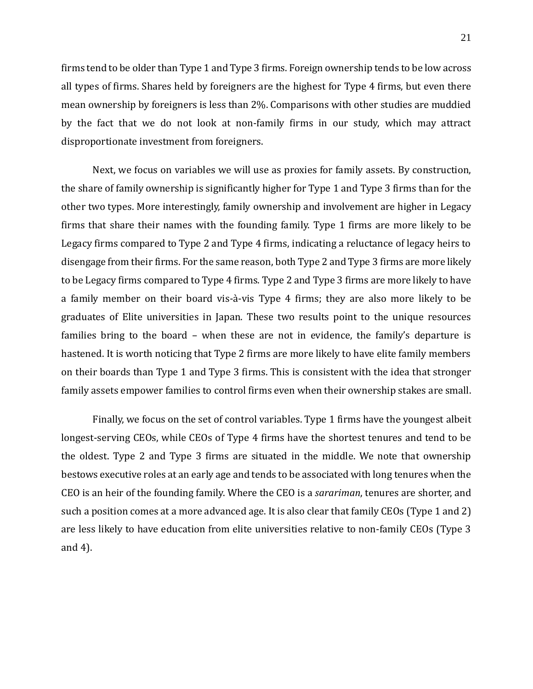firms tend to be older than Type 1 and Type 3 firms. Foreign ownership tends to be low across all types of firms. Shares held by foreigners are the highest for Type 4 firms, but even there mean ownership by foreigners is less than 2%. Comparisons with other studies are muddied by the fact that we do not look at non-family firms in our study, which may attract disproportionate investment from foreigners.

Next, we focus on variables we will use as proxies for family assets. By construction, the share of family ownership is significantly higher for Type 1 and Type 3 firms than for the other two types. More interestingly, family ownership and involvement are higher in Legacy firms that share their names with the founding family. Type 1 firms are more likely to be Legacy firms compared to Type 2 and Type 4 firms, indicating a reluctance of legacy heirs to disengage from their firms. For the same reason, both Type 2 and Type 3 firms are more likely to be Legacy firms compared to Type 4 firms. Type 2 and Type 3 firms are more likely to have a family member on their board vis-à-vis Type 4 firms; they are also more likely to be graduates of Elite universities in Japan. These two results point to the unique resources families bring to the board – when these are not in evidence, the family's departure is hastened. It is worth noticing that Type 2 firms are more likely to have elite family members on their boards than Type 1 and Type 3 firms. This is consistent with the idea that stronger family assets empower families to control firms even when their ownership stakes are small.

Finally, we focus on the set of control variables. Type 1 firms have the youngest albeit longest-serving CEOs, while CEOs of Type 4 firms have the shortest tenures and tend to be the oldest. Type 2 and Type 3 firms are situated in the middle. We note that ownership bestows executive roles at an early age and tends to be associated with long tenures when the CEO is an heir of the founding family. Where the CEO is a *sarariman*, tenures are shorter, and such a position comes at a more advanced age. It is also clear that family CEOs (Type 1 and 2) are less likely to have education from elite universities relative to non-family CEOs (Type 3 and 4).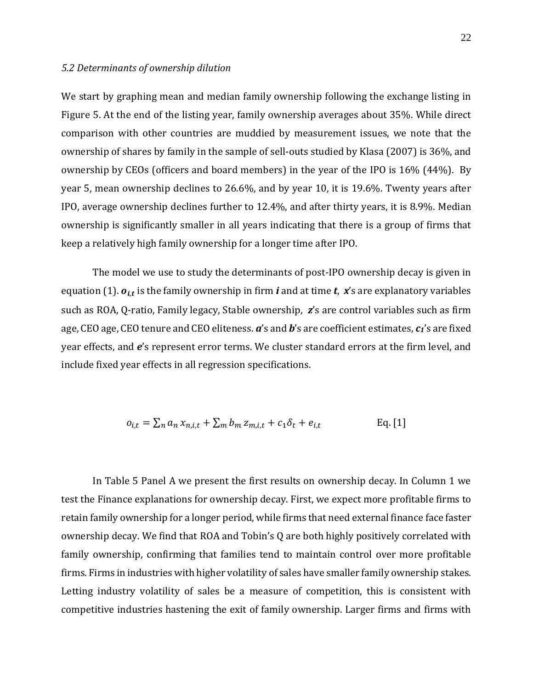#### *5.2 Determinants of ownership dilution*

We start by graphing mean and median family ownership following the exchange listing in Figure 5. At the end of the listing year, family ownership averages about 35%. While direct comparison with other countries are muddied by measurement issues, we note that the ownership of shares by family in the sample of sell-outs studied by Klasa (2007) is 36%, and ownership by CEOs (officers and board members) in the year of the IPO is 16% (44%). By year 5, mean ownership declines to 26.6%, and by year 10, it is 19.6%. Twenty years after IPO, average ownership declines further to 12.4%, and after thirty years, it is 8.9%. Median ownership is significantly smaller in all years indicating that there is a group of firms that keep a relatively high family ownership for a longer time after IPO.

The model we use to study the determinants of post-IPO ownership decay is given in equation (1).  $o_{i,t}$  is the family ownership in firm *i* and at time  $t$ ,  $x$ 's are explanatory variables such as ROA, Q-ratio, Family legacy, Stable ownership, *z*'s are control variables such as firm age, CEO age, CEO tenure and CEO eliteness. *a*'s and *b*'s are coefficient estimates, *c1*'s are fixed year effects, and *e*'s represent error terms. We cluster standard errors at the firm level, and include fixed year effects in all regression specifications.

$$
o_{i,t} = \sum_{n} a_n x_{n,i,t} + \sum_{m} b_m z_{m,i,t} + c_1 \delta_t + e_{i,t}
$$
 Eq. [1]

In Table 5 Panel A we present the first results on ownership decay. In Column 1 we test the Finance explanations for ownership decay. First, we expect more profitable firms to retain family ownership for a longer period, while firms that need external finance face faster ownership decay. We find that ROA and Tobin's Q are both highly positively correlated with family ownership, confirming that families tend to maintain control over more profitable firms. Firms in industries with higher volatility of sales have smaller family ownership stakes. Letting industry volatility of sales be a measure of competition, this is consistent with competitive industries hastening the exit of family ownership. Larger firms and firms with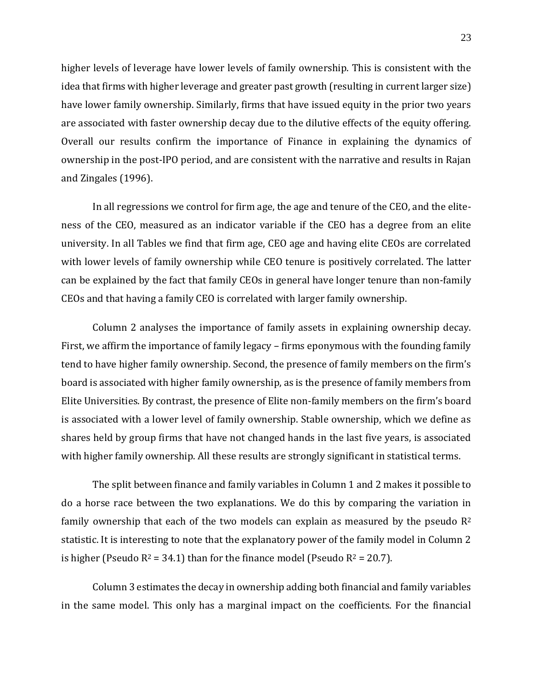higher levels of leverage have lower levels of family ownership. This is consistent with the idea that firms with higher leverage and greater past growth (resulting in current larger size) have lower family ownership. Similarly, firms that have issued equity in the prior two years are associated with faster ownership decay due to the dilutive effects of the equity offering. Overall our results confirm the importance of Finance in explaining the dynamics of ownership in the post-IPO period, and are consistent with the narrative and results in Rajan and Zingales (1996).

In all regressions we control for firm age, the age and tenure of the CEO, and the eliteness of the CEO, measured as an indicator variable if the CEO has a degree from an elite university. In all Tables we find that firm age, CEO age and having elite CEOs are correlated with lower levels of family ownership while CEO tenure is positively correlated. The latter can be explained by the fact that family CEOs in general have longer tenure than non-family CEOs and that having a family CEO is correlated with larger family ownership.

Column 2 analyses the importance of family assets in explaining ownership decay. First, we affirm the importance of family legacy – firms eponymous with the founding family tend to have higher family ownership. Second, the presence of family members on the firm's board is associated with higher family ownership, as is the presence of family members from Elite Universities. By contrast, the presence of Elite non-family members on the firm's board is associated with a lower level of family ownership. Stable ownership, which we define as shares held by group firms that have not changed hands in the last five years, is associated with higher family ownership. All these results are strongly significant in statistical terms.

The split between finance and family variables in Column 1 and 2 makes it possible to do a horse race between the two explanations. We do this by comparing the variation in family ownership that each of the two models can explain as measured by the pseudo  $R^2$ statistic. It is interesting to note that the explanatory power of the family model in Column 2 is higher (Pseudo  $R^2 = 34.1$ ) than for the finance model (Pseudo  $R^2 = 20.7$ ).

Column 3 estimates the decay in ownership adding both financial and family variables in the same model. This only has a marginal impact on the coefficients. For the financial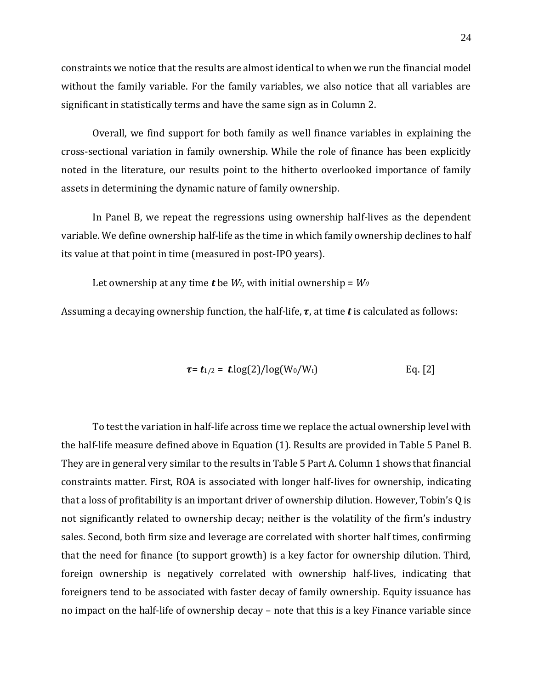constraints we notice that the results are almost identical to when we run the financial model without the family variable. For the family variables, we also notice that all variables are significant in statistically terms and have the same sign as in Column 2.

Overall, we find support for both family as well finance variables in explaining the cross-sectional variation in family ownership. While the role of finance has been explicitly noted in the literature, our results point to the hitherto overlooked importance of family assets in determining the dynamic nature of family ownership.

In Panel B, we repeat the regressions using ownership half-lives as the dependent variable. We define ownership half-life as the time in which family ownership declines to half its value at that point in time (measured in post-IPO years).

Let ownership at any time **t** be  $W_t$ , with initial ownership =  $W_0$ 

Assuming a decaying ownership function, the half-life,  $\tau$ , at time  $\dot{\tau}$  is calculated as follows:

$$
\tau = t_{1/2} = t \cdot \log(2) / \log(W_0/W_t) \qquad \qquad Eq. [2]
$$

To test the variation in half-life across time we replace the actual ownership level with the half-life measure defined above in Equation (1). Results are provided in Table 5 Panel B. They are in general very similar to the results in Table 5 Part A. Column 1 shows that financial constraints matter. First, ROA is associated with longer half-lives for ownership, indicating that a loss of profitability is an important driver of ownership dilution. However, Tobin's Q is not significantly related to ownership decay; neither is the volatility of the firm's industry sales. Second, both firm size and leverage are correlated with shorter half times, confirming that the need for finance (to support growth) is a key factor for ownership dilution. Third, foreign ownership is negatively correlated with ownership half-lives, indicating that foreigners tend to be associated with faster decay of family ownership. Equity issuance has no impact on the half-life of ownership decay – note that this is a key Finance variable since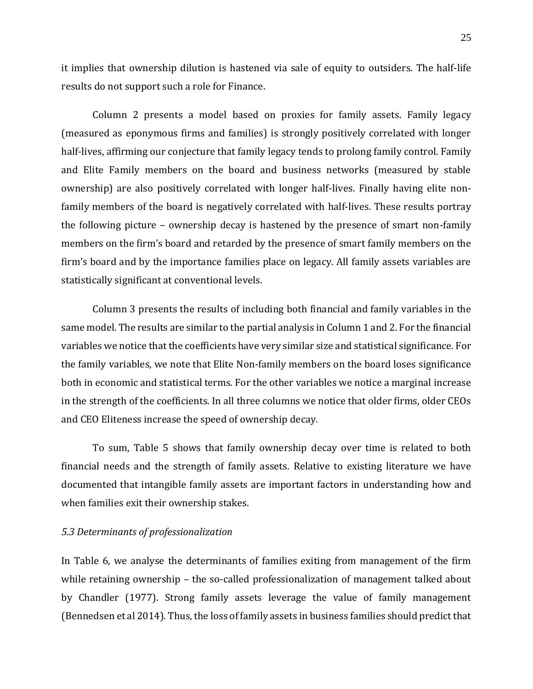it implies that ownership dilution is hastened via sale of equity to outsiders. The half-life results do not support such a role for Finance.

Column 2 presents a model based on proxies for family assets. Family legacy (measured as eponymous firms and families) is strongly positively correlated with longer half-lives, affirming our conjecture that family legacy tends to prolong family control. Family and Elite Family members on the board and business networks (measured by stable ownership) are also positively correlated with longer half-lives. Finally having elite nonfamily members of the board is negatively correlated with half-lives. These results portray the following picture – ownership decay is hastened by the presence of smart non-family members on the firm's board and retarded by the presence of smart family members on the firm's board and by the importance families place on legacy. All family assets variables are statistically significant at conventional levels.

Column 3 presents the results of including both financial and family variables in the same model. The results are similar to the partial analysis in Column 1 and 2. For the financial variables we notice that the coefficients have very similar size and statistical significance. For the family variables, we note that Elite Non-family members on the board loses significance both in economic and statistical terms. For the other variables we notice a marginal increase in the strength of the coefficients. In all three columns we notice that older firms, older CEOs and CEO Eliteness increase the speed of ownership decay.

To sum, Table 5 shows that family ownership decay over time is related to both financial needs and the strength of family assets. Relative to existing literature we have documented that intangible family assets are important factors in understanding how and when families exit their ownership stakes.

#### *5.3 Determinants of professionalization*

In Table 6, we analyse the determinants of families exiting from management of the firm while retaining ownership – the so-called professionalization of management talked about by Chandler (1977). Strong family assets leverage the value of family management (Bennedsen et al 2014). Thus, the loss of family assets in business families should predict that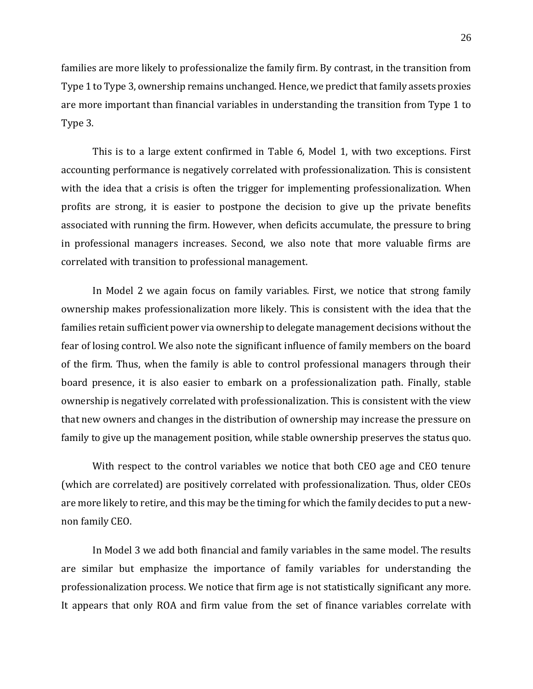families are more likely to professionalize the family firm. By contrast, in the transition from Type 1 to Type 3, ownership remains unchanged. Hence, we predict that family assets proxies are more important than financial variables in understanding the transition from Type 1 to Type 3.

This is to a large extent confirmed in Table 6, Model 1, with two exceptions. First accounting performance is negatively correlated with professionalization. This is consistent with the idea that a crisis is often the trigger for implementing professionalization. When profits are strong, it is easier to postpone the decision to give up the private benefits associated with running the firm. However, when deficits accumulate, the pressure to bring in professional managers increases. Second, we also note that more valuable firms are correlated with transition to professional management.

In Model 2 we again focus on family variables. First, we notice that strong family ownership makes professionalization more likely. This is consistent with the idea that the families retain sufficient power via ownership to delegate management decisions without the fear of losing control. We also note the significant influence of family members on the board of the firm. Thus, when the family is able to control professional managers through their board presence, it is also easier to embark on a professionalization path. Finally, stable ownership is negatively correlated with professionalization. This is consistent with the view that new owners and changes in the distribution of ownership may increase the pressure on family to give up the management position, while stable ownership preserves the status quo.

With respect to the control variables we notice that both CEO age and CEO tenure (which are correlated) are positively correlated with professionalization. Thus, older CEOs are more likely to retire, and this may be the timing for which the family decides to put a newnon family CEO.

In Model 3 we add both financial and family variables in the same model. The results are similar but emphasize the importance of family variables for understanding the professionalization process. We notice that firm age is not statistically significant any more. It appears that only ROA and firm value from the set of finance variables correlate with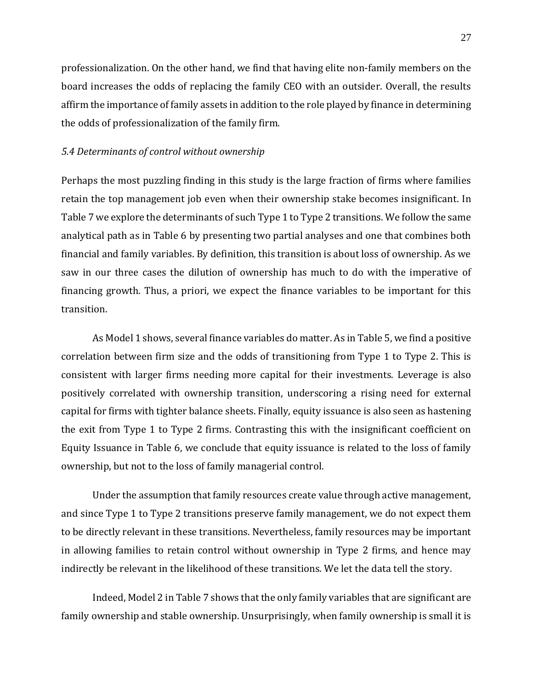professionalization. On the other hand, we find that having elite non-family members on the board increases the odds of replacing the family CEO with an outsider. Overall, the results affirm the importance of family assets in addition to the role played by finance in determining the odds of professionalization of the family firm.

#### *5.4 Determinants of control without ownership*

Perhaps the most puzzling finding in this study is the large fraction of firms where families retain the top management job even when their ownership stake becomes insignificant. In Table 7 we explore the determinants of such Type 1 to Type 2 transitions. We follow the same analytical path as in Table 6 by presenting two partial analyses and one that combines both financial and family variables. By definition, this transition is about loss of ownership. As we saw in our three cases the dilution of ownership has much to do with the imperative of financing growth. Thus, a priori, we expect the finance variables to be important for this transition.

As Model 1 shows, several finance variables do matter. As in Table 5, we find a positive correlation between firm size and the odds of transitioning from Type 1 to Type 2. This is consistent with larger firms needing more capital for their investments. Leverage is also positively correlated with ownership transition, underscoring a rising need for external capital for firms with tighter balance sheets. Finally, equity issuance is also seen as hastening the exit from Type 1 to Type 2 firms. Contrasting this with the insignificant coefficient on Equity Issuance in Table 6, we conclude that equity issuance is related to the loss of family ownership, but not to the loss of family managerial control.

Under the assumption that family resources create value through active management, and since Type 1 to Type 2 transitions preserve family management, we do not expect them to be directly relevant in these transitions. Nevertheless, family resources may be important in allowing families to retain control without ownership in Type 2 firms, and hence may indirectly be relevant in the likelihood of these transitions. We let the data tell the story.

Indeed, Model 2 in Table 7 shows that the only family variables that are significant are family ownership and stable ownership. Unsurprisingly, when family ownership is small it is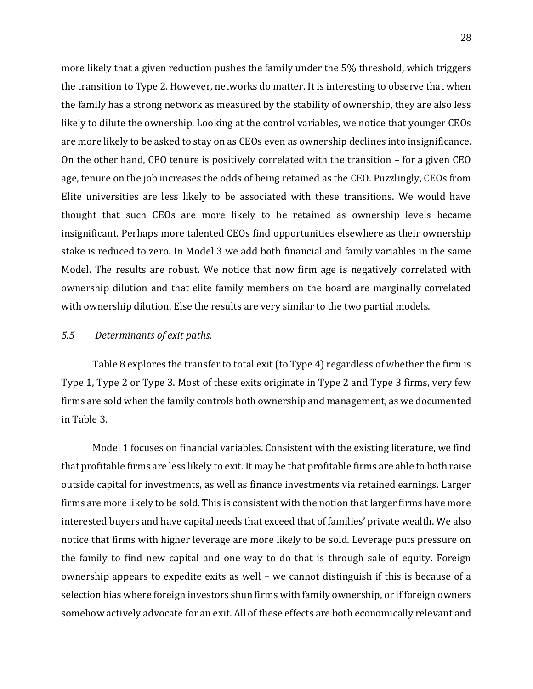more likely that a given reduction pushes the family under the 5% threshold, which triggers the transition to Type 2. However, networks do matter. It is interesting to observe that when the family has a strong network as measured by the stability of ownership, they are also less likely to dilute the ownership. Looking at the control variables, we notice that younger CEOs are more likely to be asked to stay on as CEOs even as ownership declines into insignificance. On the other hand, CEO tenure is positively correlated with the transition – for a given CEO age, tenure on the job increases the odds of being retained as the CEO. Puzzlingly, CEOs from Elite universities are less likely to be associated with these transitions. We would have thought that such CEOs are more likely to be retained as ownership levels became insignificant. Perhaps more talented CEOs find opportunities elsewhere as their ownership stake is reduced to zero. In Model 3 we add both financial and family variables in the same Model. The results are robust. We notice that now firm age is negatively correlated with ownership dilution and that elite family members on the board are marginally correlated with ownership dilution. Else the results are very similar to the two partial models.

#### *5.5 Determinants of exit paths.*

Table 8 explores the transfer to total exit (to Type 4) regardless of whether the firm is Type 1, Type 2 or Type 3. Most of these exits originate in Type 2 and Type 3 firms, very few firms are sold when the family controls both ownership and management, as we documented in Table 3.

Model 1 focuses on financial variables. Consistent with the existing literature, we find that profitable firms are less likely to exit. It may be that profitable firms are able to both raise outside capital for investments, as well as finance investments via retained earnings. Larger firms are more likely to be sold. This is consistent with the notion that larger firms have more interested buyers and have capital needs that exceed that of families' private wealth. We also notice that firms with higher leverage are more likely to be sold. Leverage puts pressure on the family to find new capital and one way to do that is through sale of equity. Foreign ownership appears to expedite exits as well – we cannot distinguish if this is because of a selection bias where foreign investors shun firms with family ownership, or if foreign owners somehow actively advocate for an exit. All of these effects are both economically relevant and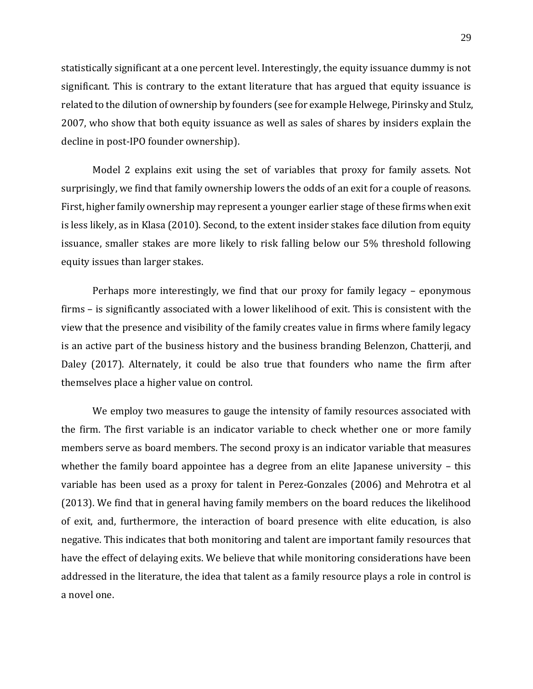statistically significant at a one percent level. Interestingly, the equity issuance dummy is not significant. This is contrary to the extant literature that has argued that equity issuance is related to the dilution of ownership by founders (see for example Helwege, Pirinsky and Stulz, 2007, who show that both equity issuance as well as sales of shares by insiders explain the decline in post-IPO founder ownership).

Model 2 explains exit using the set of variables that proxy for family assets. Not surprisingly, we find that family ownership lowers the odds of an exit for a couple of reasons. First, higher family ownership may represent a younger earlier stage of these firms when exit is less likely, as in Klasa (2010). Second, to the extent insider stakes face dilution from equity issuance, smaller stakes are more likely to risk falling below our 5% threshold following equity issues than larger stakes.

Perhaps more interestingly, we find that our proxy for family legacy – eponymous firms – is significantly associated with a lower likelihood of exit. This is consistent with the view that the presence and visibility of the family creates value in firms where family legacy is an active part of the business history and the business branding Belenzon, Chatterji, and Daley (2017). Alternately, it could be also true that founders who name the firm after themselves place a higher value on control.

We employ two measures to gauge the intensity of family resources associated with the firm. The first variable is an indicator variable to check whether one or more family members serve as board members. The second proxy is an indicator variable that measures whether the family board appointee has a degree from an elite Japanese university – this variable has been used as a proxy for talent in Perez-Gonzales (2006) and Mehrotra et al (2013). We find that in general having family members on the board reduces the likelihood of exit, and, furthermore, the interaction of board presence with elite education, is also negative. This indicates that both monitoring and talent are important family resources that have the effect of delaying exits. We believe that while monitoring considerations have been addressed in the literature, the idea that talent as a family resource plays a role in control is a novel one.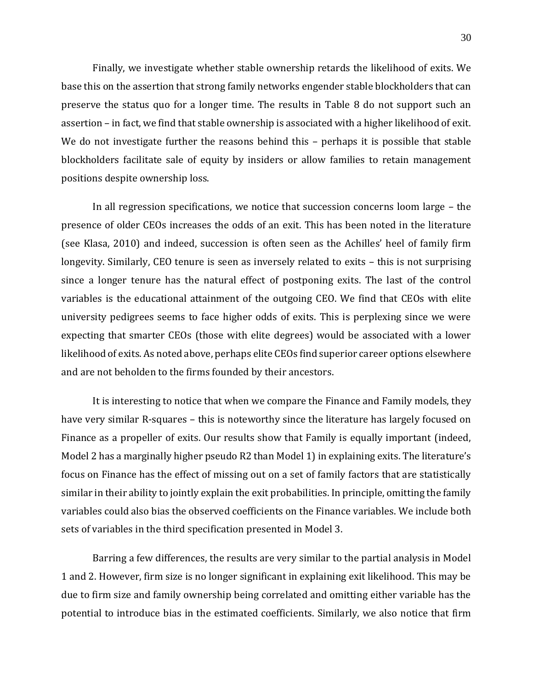Finally, we investigate whether stable ownership retards the likelihood of exits. We base this on the assertion that strong family networks engender stable blockholders that can preserve the status quo for a longer time. The results in Table 8 do not support such an assertion – in fact, we find that stable ownership is associated with a higher likelihood of exit. We do not investigate further the reasons behind this - perhaps it is possible that stable blockholders facilitate sale of equity by insiders or allow families to retain management positions despite ownership loss.

In all regression specifications, we notice that succession concerns loom large – the presence of older CEOs increases the odds of an exit. This has been noted in the literature (see Klasa, 2010) and indeed, succession is often seen as the Achilles' heel of family firm longevity. Similarly, CEO tenure is seen as inversely related to exits – this is not surprising since a longer tenure has the natural effect of postponing exits. The last of the control variables is the educational attainment of the outgoing CEO. We find that CEOs with elite university pedigrees seems to face higher odds of exits. This is perplexing since we were expecting that smarter CEOs (those with elite degrees) would be associated with a lower likelihood of exits. As noted above, perhaps elite CEOs find superior career options elsewhere and are not beholden to the firms founded by their ancestors.

It is interesting to notice that when we compare the Finance and Family models, they have very similar R-squares – this is noteworthy since the literature has largely focused on Finance as a propeller of exits. Our results show that Family is equally important (indeed, Model 2 has a marginally higher pseudo R2 than Model 1) in explaining exits. The literature's focus on Finance has the effect of missing out on a set of family factors that are statistically similar in their ability to jointly explain the exit probabilities. In principle, omitting the family variables could also bias the observed coefficients on the Finance variables. We include both sets of variables in the third specification presented in Model 3.

Barring a few differences, the results are very similar to the partial analysis in Model 1 and 2. However, firm size is no longer significant in explaining exit likelihood. This may be due to firm size and family ownership being correlated and omitting either variable has the potential to introduce bias in the estimated coefficients. Similarly, we also notice that firm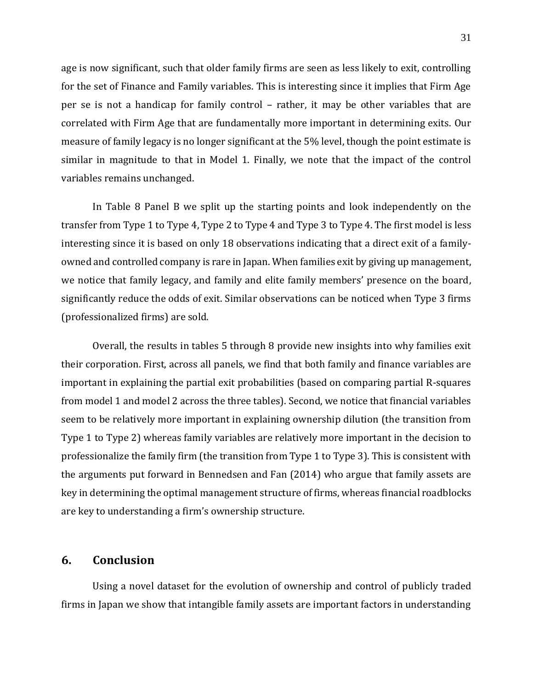age is now significant, such that older family firms are seen as less likely to exit, controlling for the set of Finance and Family variables. This is interesting since it implies that Firm Age per se is not a handicap for family control – rather, it may be other variables that are correlated with Firm Age that are fundamentally more important in determining exits. Our measure of family legacy is no longer significant at the 5% level, though the point estimate is similar in magnitude to that in Model 1. Finally, we note that the impact of the control variables remains unchanged.

In Table 8 Panel B we split up the starting points and look independently on the transfer from Type 1 to Type 4, Type 2 to Type 4 and Type 3 to Type 4. The first model is less interesting since it is based on only 18 observations indicating that a direct exit of a familyowned and controlled company is rare in Japan. When families exit by giving up management, we notice that family legacy, and family and elite family members' presence on the board, significantly reduce the odds of exit. Similar observations can be noticed when Type 3 firms (professionalized firms) are sold.

Overall, the results in tables 5 through 8 provide new insights into why families exit their corporation. First, across all panels, we find that both family and finance variables are important in explaining the partial exit probabilities (based on comparing partial R-squares from model 1 and model 2 across the three tables). Second, we notice that financial variables seem to be relatively more important in explaining ownership dilution (the transition from Type 1 to Type 2) whereas family variables are relatively more important in the decision to professionalize the family firm (the transition from Type 1 to Type 3). This is consistent with the arguments put forward in Bennedsen and Fan (2014) who argue that family assets are key in determining the optimal management structure of firms, whereas financial roadblocks are key to understanding a firm's ownership structure.

## **6. Conclusion**

Using a novel dataset for the evolution of ownership and control of publicly traded firms in Japan we show that intangible family assets are important factors in understanding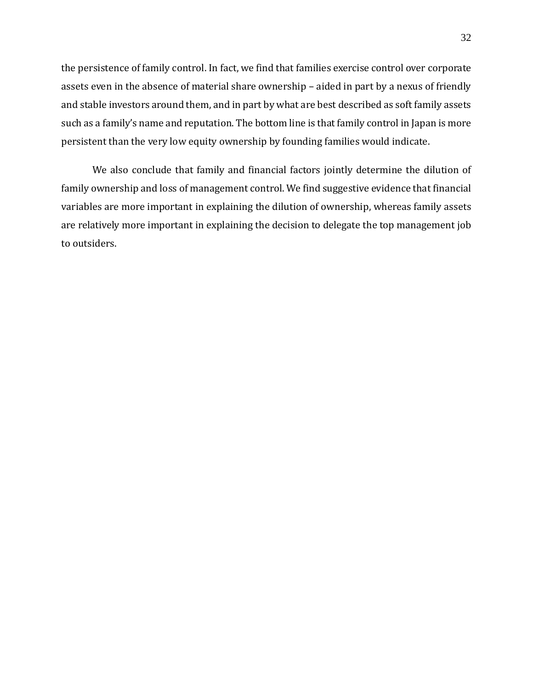the persistence of family control. In fact, we find that families exercise control over corporate assets even in the absence of material share ownership – aided in part by a nexus of friendly and stable investors around them, and in part by what are best described as soft family assets such as a family's name and reputation. The bottom line is that family control in Japan is more persistent than the very low equity ownership by founding families would indicate.

We also conclude that family and financial factors jointly determine the dilution of family ownership and loss of management control. We find suggestive evidence that financial variables are more important in explaining the dilution of ownership, whereas family assets are relatively more important in explaining the decision to delegate the top management job to outsiders.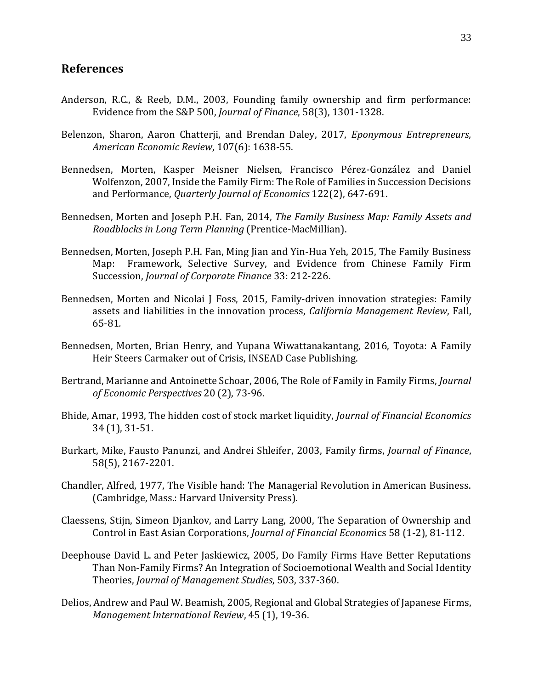### **References**

- Anderson, R.C., & Reeb, D.M., 2003, Founding family ownership and firm performance: Evidence from the S&P 500, *Journal of Finance*, 58(3), 1301-1328.
- Belenzon, Sharon, Aaron Chatterji, and Brendan Daley, 2017, *Eponymous Entrepreneurs, American Economic Review*, 107(6): 1638-55.
- Bennedsen, Morten, Kasper Meisner Nielsen, Francisco Pérez-González and Daniel Wolfenzon, 2007, Inside the Family Firm: The Role of Families in Succession Decisions and Performance, *Quarterly Journal of Economics* 122(2), 647-691.
- Bennedsen, Morten and Joseph P.H. Fan, 2014, *The Family Business Map: Family Assets and Roadblocks in Long Term Planning* (Prentice-MacMillian).
- Bennedsen, Morten, Joseph P.H. Fan, Ming Jian and Yin-Hua Yeh, 2015, The Family Business Map: Framework, Selective Survey, and Evidence from Chinese Family Firm Succession, *Journal of Corporate Finance* 33: 212-226.
- Bennedsen, Morten and Nicolai J Foss, 2015, Family-driven innovation strategies: Family assets and liabilities in the innovation process, *California Management Review*, Fall, 65-81*.*
- Bennedsen, Morten, Brian Henry, and Yupana Wiwattanakantang, 2016, Toyota: A Family Heir Steers Carmaker out of Crisis, INSEAD Case Publishing.
- Bertrand, Marianne and Antoinette Schoar, 2006, The Role of Family in Family Firms, *Journal of Economic Perspectives* 20 (2), 73-96.
- Bhide, Amar, 1993, The hidden cost of stock market liquidity, *Journal of Financial Economics* 34 (1), 31-51.
- Burkart, Mike, Fausto Panunzi, and Andrei Shleifer, 2003, Family firms, *Journal of Finance*, 58(5), 2167-2201.
- Chandler, Alfred, 1977, The Visible hand: The Managerial Revolution in American Business. (Cambridge, Mass.: Harvard University Press).
- Claessens, Stijn, Simeon Djankov, and Larry Lang, 2000, The Separation of Ownership and Control in East Asian Corporations, *Journal of Financial Econom*ics 58 (1-2), 81-112.
- Deephouse David L. and Peter Jaskiewicz, 2005, Do Family Firms Have Better Reputations Than Non-Family Firms? An Integration of Socioemotional Wealth and Social Identity Theories, *Journal of Management Studies*, 503, 337-360.
- Delios, Andrew and Paul W. Beamish, 2005, Regional and Global Strategies of Japanese Firms, *Management International Review*, 45 (1), 19-36.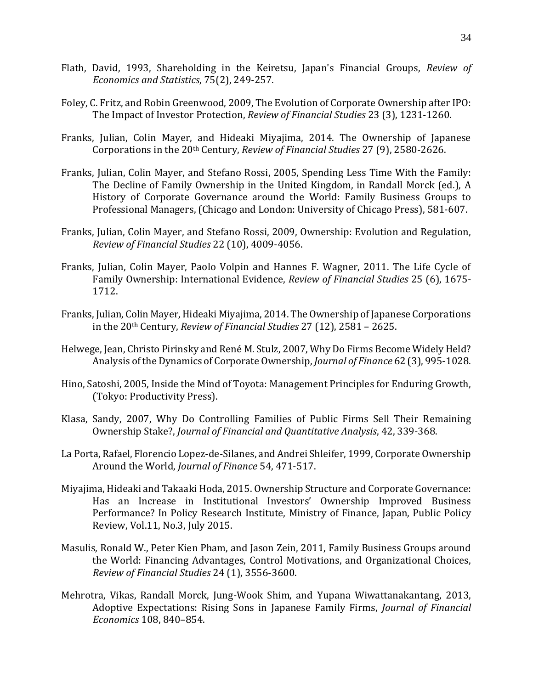- Flath, David, 1993, Shareholding in the Keiretsu, Japan's Financial Groups, *Review of Economics and Statistics*, 75(2), 249-257.
- Foley, C. Fritz, and Robin Greenwood, 2009, The Evolution of Corporate Ownership after IPO: The Impact of Investor Protection, *Review of Financial Studies* 23 (3), 1231-1260.
- Franks, Julian, Colin Mayer, and Hideaki Miyajima, 2014. The Ownership of Japanese Corporations in the 20th Century, *Review of Financial Studies* 27 (9), 2580-2626.
- Franks, Julian, Colin Mayer, and Stefano Rossi, 2005, Spending Less Time With the Family: The Decline of Family Ownership in the United Kingdom, in Randall Morck (ed.), A History of Corporate Governance around the World: Family Business Groups to Professional Managers, (Chicago and London: University of Chicago Press), 581-607.
- Franks, Julian, Colin Mayer, and Stefano Rossi, 2009, Ownership: Evolution and Regulation, *Review of Financial Studies* 22 (10), 4009-4056.
- Franks, Julian, Colin Mayer, Paolo Volpin and Hannes F. Wagner, 2011. The Life Cycle of Family Ownership: International Evidence, *Review of Financial Studies* 25 (6), 1675- 1712.
- Franks, Julian, Colin Mayer, Hideaki Miyajima, 2014. The Ownership of Japanese Corporations in the 20th Century, *Review of Financial Studies* 27 (12), 2581 – 2625.
- Helwege, Jean, Christo Pirinsky and René M. Stulz, 2007, Why Do Firms Become Widely Held? Analysis of the Dynamics of Corporate Ownership, *Journal of Finance* 62 (3), 995-1028.
- Hino, Satoshi, 2005, Inside the Mind of Toyota: Management Principles for Enduring Growth, (Tokyo: Productivity Press).
- Klasa, Sandy, 2007, Why Do Controlling Families of Public Firms Sell Their Remaining Ownership Stake?, *Journal of Financial and Quantitative Analysis*, 42, 339-368.
- La Porta, Rafael, Florencio Lopez-de-Silanes, and Andrei Shleifer, 1999, Corporate Ownership Around the World, *Journal of Finance* 54, 471-517.
- Miyajima, Hideaki and Takaaki Hoda, 2015. Ownership Structure and Corporate Governance: Has an Increase in Institutional Investors' Ownership Improved Business Performance? In Policy Research Institute, Ministry of Finance, Japan, Public Policy Review, Vol.11, No.3, July 2015.
- Masulis, Ronald W., Peter Kien Pham, and Jason Zein, 2011, Family Business Groups around the World: Financing Advantages, Control Motivations, and Organizational Choices, *Review of Financial Studies* 24 (1), 3556-3600.
- Mehrotra, Vikas, Randall Morck, Jung-Wook Shim, and Yupana Wiwattanakantang, 2013, Adoptive Expectations: Rising Sons in Japanese Family Firms, *Journal of Financial Economics* 108, 840–854.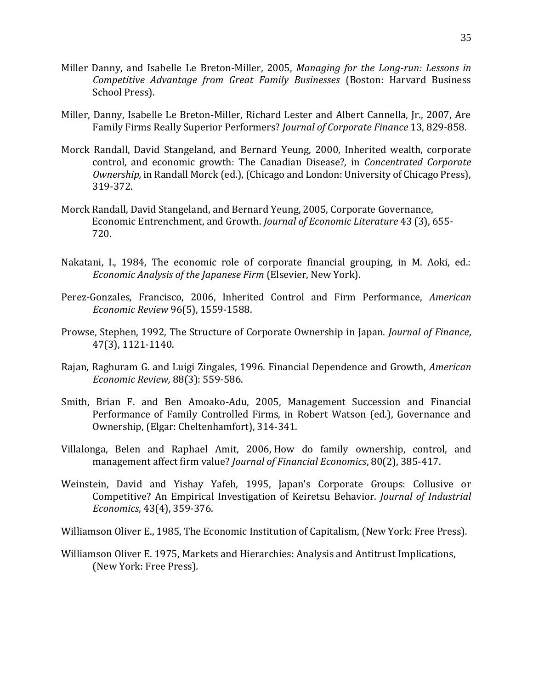- Miller Danny, and Isabelle Le Breton-Miller, 2005, *Managing for the Long-run: Lessons in Competitive Advantage from Great Family Businesses* (Boston: Harvard Business School Press).
- Miller, Danny, Isabelle Le Breton-Miller, Richard Lester and Albert Cannella, Jr., 2007, Are Family Firms Really Superior Performers? *Journal of Corporate Finance* 13, 829-858.
- Morck Randall, David Stangeland, and Bernard Yeung, 2000, Inherited wealth, corporate control, and economic growth: The Canadian Disease?, in *Concentrated Corporate Ownership,* in Randall Morck (ed.), (Chicago and London: University of Chicago Press), 319-372.
- Morck Randall, David Stangeland, and Bernard Yeung, 2005, Corporate Governance, Economic Entrenchment, and Growth. *Journal of Economic Literature* 43 (3), 655- 720.
- Nakatani, I., 1984, The economic role of corporate financial grouping, in M. Aoki, ed.: *Economic Analysis of the Japanese Firm* (Elsevier, New York).
- Perez-Gonzales, Francisco, 2006, Inherited Control and Firm Performance, *American Economic Review* 96(5), 1559-1588.
- Prowse, Stephen, 1992, The Structure of Corporate Ownership in Japan. *Journal of Finance*, 47(3), 1121-1140.
- Rajan, Raghuram G. and Luigi Zingales, 1996. Financial Dependence and Growth, *American Economic Review,* 88(3): 559-586.
- Smith, Brian F. and Ben Amoako-Adu, 2005, Management Succession and Financial Performance of Family Controlled Firms, in Robert Watson (ed.), Governance and Ownership, (Elgar: Cheltenhamfort), 314-341.
- Villalonga, Belen and Raphael Amit, 2006, How do family ownership, control, and management affect firm value? *Journal of Financial Economics*, 80(2), 385-417.
- Weinstein, David and Yishay Yafeh, 1995, Japan's Corporate Groups: Collusive or Competitive? An Empirical Investigation of Keiretsu Behavior. *Journal of Industrial Economics*, 43(4), 359-376.

Williamson Oliver E., 1985, The Economic Institution of Capitalism, (New York: Free Press)*.* 

Williamson Oliver E. 1975, Markets and Hierarchies: Analysis and Antitrust Implications, (New York: Free Press)*.*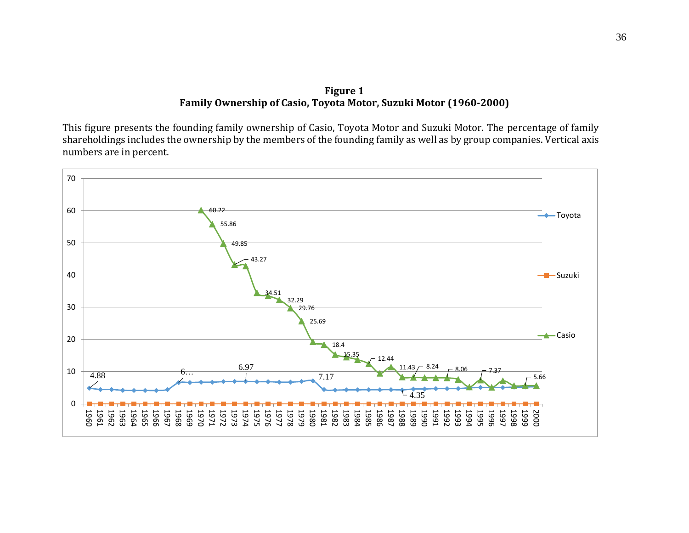#### **Figure 1 Family Ownership of Casio, Toyota Motor, Suzuki Motor (1960-2000)**

This figure presents the founding family ownership of Casio, Toyota Motor and Suzuki Motor. The percentage of family shareholdings includes the ownership by the members of the founding family as well as by group companies. Vertical axis numbers are in percent.

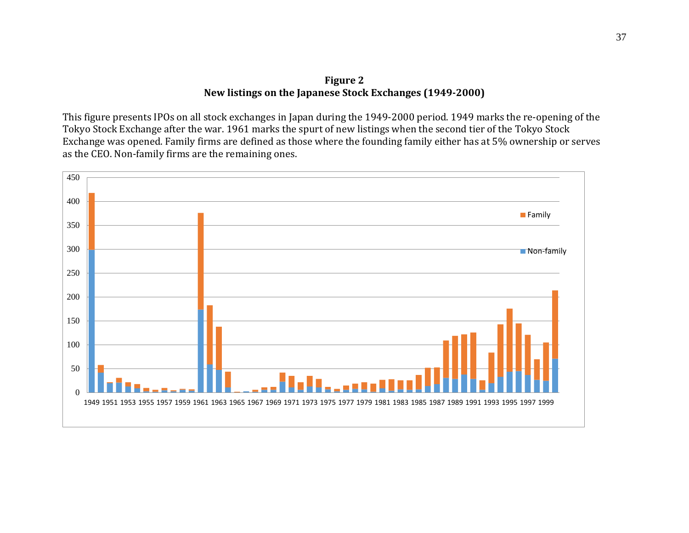#### **Figure 2 New listings on the Japanese Stock Exchanges (1949-2000)**

This figure presents IPOs on all stock exchanges in Japan during the 1949-2000 period. 1949 marks the re-opening of the Tokyo Stock Exchange after the war. 1961 marks the spurt of new listings when the second tier of the Tokyo Stock Exchange was opened. Family firms are defined as those where the founding family either has at 5% ownership or serves as the CEO. Non-family firms are the remaining ones.

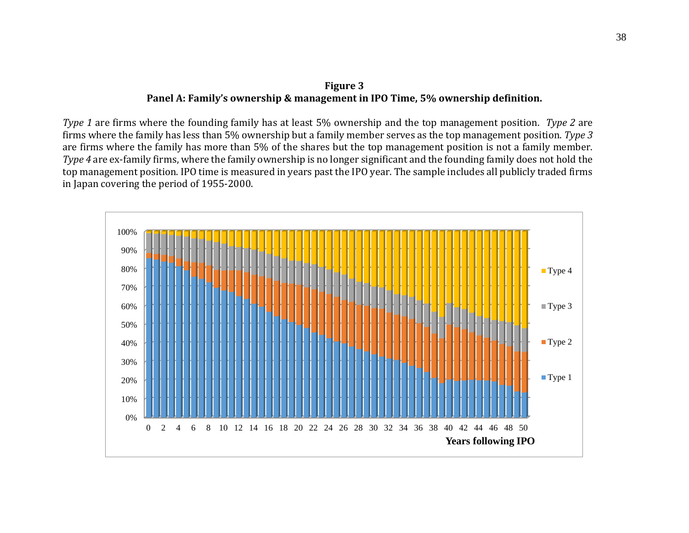## **Figure 3 Panel A: Family's ownership & management in IPO Time, 5% ownership definition.**

*Type 1* are firms where the founding family has at least 5% ownership and the top management position. *Type 2* are firms where the family has less than 5% ownership but a family member serves as the top management position. *Type 3* are firms where the family has more than 5% of the shares but the top management position is not a family member. *Type 4* are ex-family firms, where the family ownership is no longer significant and the founding family does not hold the top management position. IPO time is measured in years past the IPO year. The sample includes all publicly traded firms in Japan covering the period of 1955-2000.

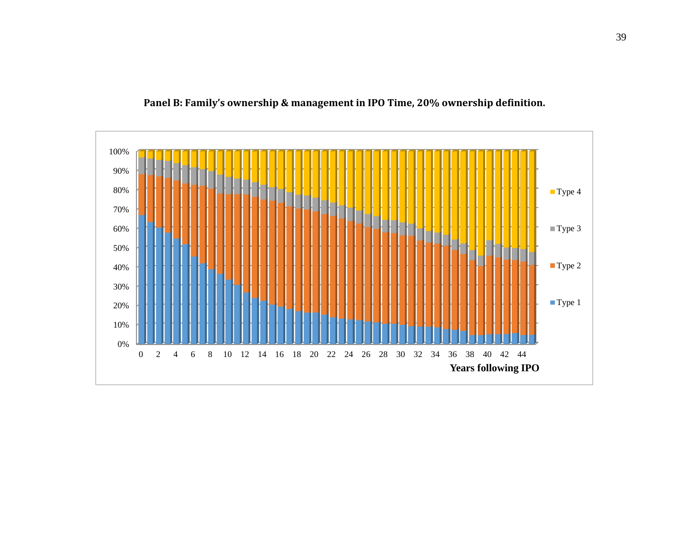

**Panel B: Family's ownership & management in IPO Time, 20% ownership definition.**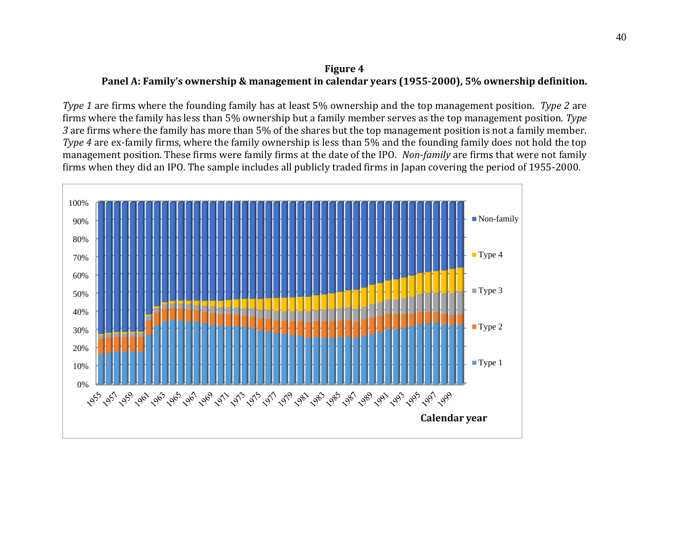## **Figure 4 Panel A: Family's ownership & management in calendar years (1955-2000), 5% ownership definition.**

*Type 1* are firms where the founding family has at least 5% ownership and the top management position. *Type 2* are firms where the family has less than 5% ownership but a family member serves as the top management position. *Type 3* are firms where the family has more than 5% of the shares but the top management position is not a family member. *Type 4* are ex-family firms, where the family ownership is less than 5% and the founding family does not hold the top management position. These firms were family firms at the date of the IPO. *Non-family* are firms that were not family firms when they did an IPO. The sample includes all publicly traded firms in Japan covering the period of 1955-2000.

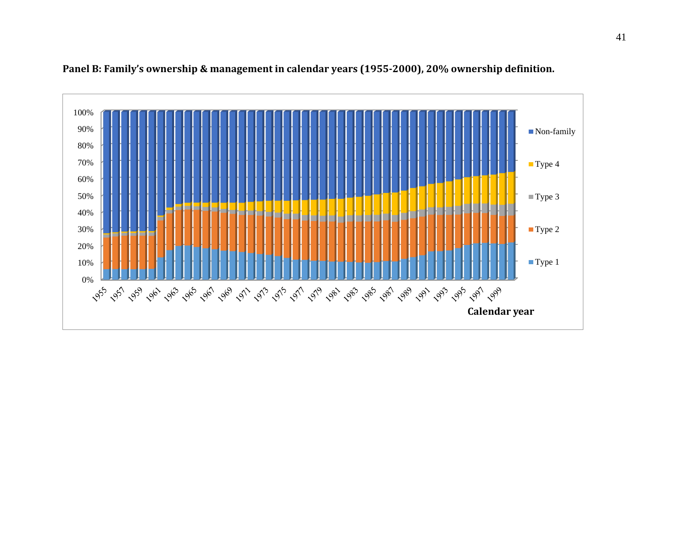

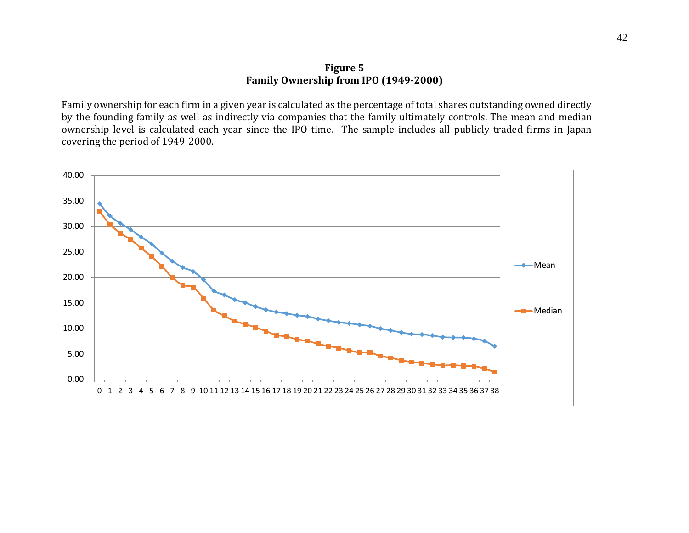#### **Figure 5 Family Ownership from IPO (1949-2000)**

Family ownership for each firm in a given year is calculated as the percentage of total shares outstanding owned directly by the founding family as well as indirectly via companies that the family ultimately controls. The mean and median ownership level is calculated each year since the IPO time. The sample includes all publicly traded firms in Japan covering the period of 1949-2000.

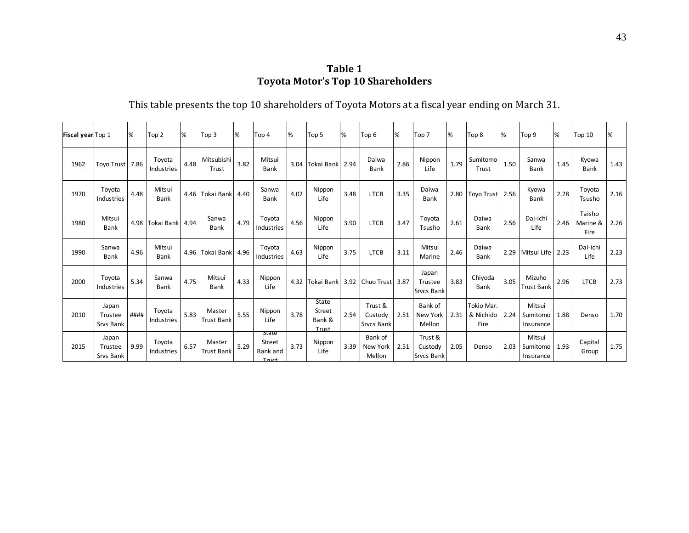**Table 1 Toyota Motor's Top 10 Shareholders**

This table presents the top 10 shareholders of Toyota Motors at a fiscal year ending on March 31.

| Fiscal year Top 1 |                               | ℅    | Top <sub>2</sub>      | %    | Top 3                       | %    | Top 4                                   | %    | Top 5                                     | 1%   | Top <sub>6</sub>                      | ℅    | Top <sub>7</sub>                 | %    | Top 8                           | %    | Top <sub>9</sub>                | %    | Top 10                     | %    |
|-------------------|-------------------------------|------|-----------------------|------|-----------------------------|------|-----------------------------------------|------|-------------------------------------------|------|---------------------------------------|------|----------------------------------|------|---------------------------------|------|---------------------------------|------|----------------------------|------|
| 1962              | Toyo Trust                    | 7.86 | Toyota<br>Industries  | 4.48 | Mitsubishi<br>Trust         | 3.82 | Mitsui<br><b>Bank</b>                   | 3.04 | Tokai Bank 2.94                           |      | Daiwa<br><b>Bank</b>                  | 2.86 | Nippon<br>Life                   | 1.79 | Sumitomo<br>Trust               | 1.50 | Sanwa<br><b>Bank</b>            | 1.45 | Kyowa<br><b>Bank</b>       | 1.43 |
| 1970              | Toyota<br>Industries          | 4.48 | Mitsui<br>Bank        |      | 4.46 Tokai Bank             | 4.40 | Sanwa<br>Bank                           | 4.02 | Nippon<br>Life                            | 3.48 | <b>LTCB</b>                           | 3.35 | Daiwa<br><b>Bank</b>             |      | 2.80   Toyo Trust               | 2.56 | Kyowa<br><b>Bank</b>            | 2.28 | Toyota<br>Tsusho           | 2.16 |
| 1980              | Mitsui<br>Bank                |      | 4.98 Tokai Bank       | 4.94 | Sanwa<br><b>Bank</b>        | 4.79 | Toyota<br>Industries                    | 4.56 | Nippon<br>Life                            | 3.90 | <b>LTCB</b>                           | 3.47 | Toyota<br>Tsusho                 | 2.61 | Daiwa<br><b>Bank</b>            | 2.56 | Dai-ichi<br>Life                | 2.46 | Taisho<br>Marine &<br>Fire | 2.26 |
| 1990              | Sanwa<br>Bank                 | 4.96 | Mitsui<br><b>Bank</b> |      | 4.96 Tokai Bank             | 4.96 | Toyota<br>Industries                    | 4.63 | Nippon<br>Life                            | 3.75 | <b>LTCB</b>                           | 3.11 | Mitsui<br>Marine                 | 2.46 | Daiwa<br><b>Bank</b>            | 2.29 | Mitsui Life                     | 2.23 | Dai-ichi<br>Life           | 2.23 |
| 2000              | Toyota<br>Industries          | 5.34 | Sanwa<br>Bank         | 4.75 | Mitsui<br><b>Bank</b>       | 4.33 | Nippon<br>Life                          | 4.32 |                                           |      | Tokai Bank   3.92   Chuo Trust   3.87 |      | Japan<br>Trustee<br>Srvcs Bank   | 3.83 | Chiyoda<br>Bank                 | 3.05 | Mizuho<br><b>Trust Bank</b>     | 2.96 | <b>LTCB</b>                | 2.73 |
| 2010              | Japan<br>Trustee<br>Srvs Bank | #### | Toyota<br>Industries  | 5.83 | Master<br><b>Trust Bank</b> | 5.55 | Nippon<br>Life                          | 3.78 | State<br><b>Street</b><br>Bank &<br>Trust | 2.54 | Trust &<br>Custody<br>Srvcs Bank      | 2.51 | Bank of<br>New York<br>Mellon    | 2.31 | Tokio Mar.<br>& Nichido<br>Fire | 2.24 | Mitsui<br>Sumitomo<br>Insurance | 1.88 | Denso                      | 1.70 |
| 2015              | Japan<br>Trustee<br>Srvs Bank | 9.99 | Toyota<br>Industries  | 6.57 | Master<br><b>Trust Bank</b> | 5.29 | State<br>Street<br>Bank and<br>$T$ ruct | 3.73 | Nippon<br>Life                            | 3.39 | Bank of<br>New York<br>Mellon         | 2.51 | Trust &<br>Custody<br>Srvcs Bank | 2.05 | Denso                           | 2.03 | Mitsui<br>Sumitomo<br>Insurance | 1.93 | Capital<br>Group           | 1.75 |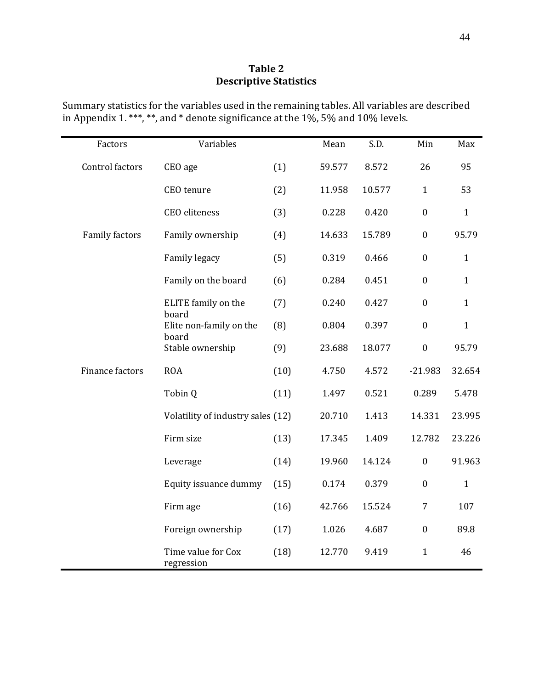## **Table 2 Descriptive Statistics**

| Summary statistics for the variables used in the remaining tables. All variables are described |  |
|------------------------------------------------------------------------------------------------|--|
| in Appendix 1. ***, **, and * denote significance at the 1%, 5% and 10% levels.                |  |

| Factors         | Variables                         |      | Mean   | S.D.   | Min              | Max          |
|-----------------|-----------------------------------|------|--------|--------|------------------|--------------|
| Control factors | CEO age                           | (1)  | 59.577 | 8.572  | 26               | 95           |
|                 | CEO tenure                        | (2)  | 11.958 | 10.577 | $\mathbf{1}$     | 53           |
|                 | <b>CEO</b> eliteness              | (3)  | 0.228  | 0.420  | $\boldsymbol{0}$ | $\mathbf{1}$ |
| Family factors  | Family ownership                  | (4)  | 14.633 | 15.789 | $\boldsymbol{0}$ | 95.79        |
|                 | Family legacy                     | (5)  | 0.319  | 0.466  | $\boldsymbol{0}$ | $\mathbf{1}$ |
|                 | Family on the board               | (6)  | 0.284  | 0.451  | $\boldsymbol{0}$ | $\mathbf{1}$ |
|                 | ELITE family on the               | (7)  | 0.240  | 0.427  | $\boldsymbol{0}$ | $\mathbf{1}$ |
|                 | board<br>Elite non-family on the  | (8)  | 0.804  | 0.397  | $\boldsymbol{0}$ | $\mathbf{1}$ |
|                 | board<br>Stable ownership         | (9)  | 23.688 | 18.077 | $\boldsymbol{0}$ | 95.79        |
| Finance factors | <b>ROA</b>                        | (10) | 4.750  | 4.572  | $-21.983$        | 32.654       |
|                 | Tobin Q                           | (11) | 1.497  | 0.521  | 0.289            | 5.478        |
|                 | Volatility of industry sales (12) |      | 20.710 | 1.413  | 14.331           | 23.995       |
|                 | Firm size                         | (13) | 17.345 | 1.409  | 12.782           | 23.226       |
|                 | Leverage                          | (14) | 19.960 | 14.124 | $\boldsymbol{0}$ | 91.963       |
|                 | Equity issuance dummy             | (15) | 0.174  | 0.379  | $\boldsymbol{0}$ | $\mathbf{1}$ |
|                 | Firm age                          | (16) | 42.766 | 15.524 | $\overline{7}$   | 107          |
|                 | Foreign ownership                 | (17) | 1.026  | 4.687  | $\boldsymbol{0}$ | 89.8         |
|                 | Time value for Cox<br>regression  | (18) | 12.770 | 9.419  | $\mathbf{1}$     | 46           |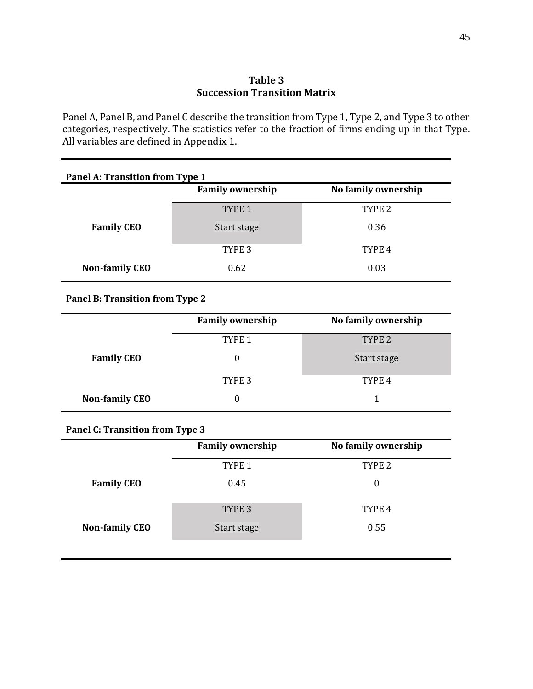#### **Table 3 Succession Transition Matrix**

Panel A, Panel B, and Panel C describe the transition from Type 1, Type 2, and Type 3 to other categories, respectively. The statistics refer to the fraction of firms ending up in that Type. All variables are defined in Appendix 1.

| Panel A: Transition from Type 1 |                         |                     |  |  |  |  |  |
|---------------------------------|-------------------------|---------------------|--|--|--|--|--|
|                                 | <b>Family ownership</b> | No family ownership |  |  |  |  |  |
|                                 | TYPE <sub>1</sub>       | TYPE <sub>2</sub>   |  |  |  |  |  |
| <b>Family CEO</b>               | Start stage             | 0.36                |  |  |  |  |  |
|                                 | TYPE <sub>3</sub>       | TYPE <sub>4</sub>   |  |  |  |  |  |
| <b>Non-family CEO</b>           | 0.62                    | 0.03                |  |  |  |  |  |

## **Panel B: Transition from Type 2**

|                       | <b>Family ownership</b> | No family ownership |
|-----------------------|-------------------------|---------------------|
|                       | TYPE <sub>1</sub>       | TYPE <sub>2</sub>   |
| <b>Family CEO</b>     | 0                       | Start stage         |
|                       | TYPE 3                  | TYPE 4              |
| <b>Non-family CEO</b> |                         |                     |

## **Panel C: Transition from Type 3**

|                       | <b>Family ownership</b> | No family ownership |
|-----------------------|-------------------------|---------------------|
|                       | TYPE <sub>1</sub>       | TYPE <sub>2</sub>   |
| <b>Family CEO</b>     | 0.45                    | 0                   |
|                       | TYPE <sub>3</sub>       | TYPE 4              |
| <b>Non-family CEO</b> | Start stage             | 0.55                |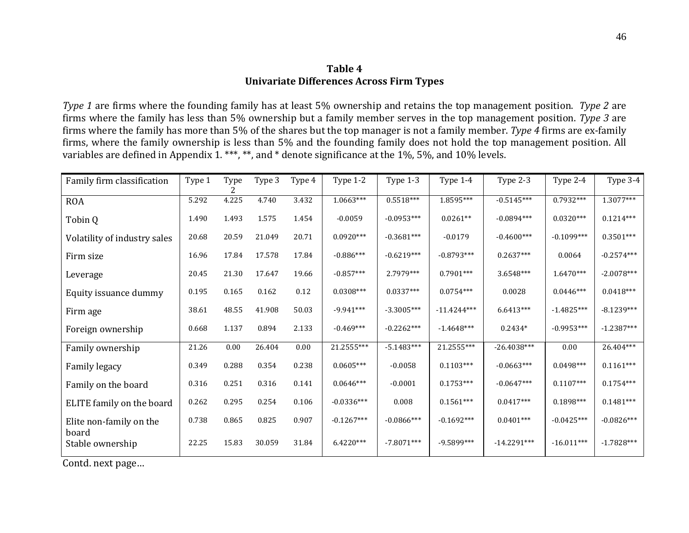### **Table 4 Univariate Differences Across Firm Types**

*Type 1* are firms where the founding family has at least 5% ownership and retains the top management position. *Type 2* are firms where the family has less than 5% ownership but a family member serves in the top management position. *Type 3* are firms where the family has more than 5% of the shares but the top manager is not a family member. *Type 4* firms are ex-family firms, where the family ownership is less than 5% and the founding family does not hold the top management position. All variables are defined in Appendix 1. \*\*\*, \*\*, and \* denote significance at the 1%, 5%, and 10% levels.

| Family firm classification   | Type 1 | Type  | Type 3 | Type 4 | Type 1-2     | Type 1-3      | Type 1-4      | Type 2-3      | Type 2-4     | Type 3-4     |
|------------------------------|--------|-------|--------|--------|--------------|---------------|---------------|---------------|--------------|--------------|
| <b>ROA</b>                   | 5.292  | 4.225 | 4.740  | 3.432  | $1.0663***$  | $0.5518***$   | 1.8595***     | $-0.5145***$  | $0.7932***$  | $1.3077***$  |
| Tobin Q                      | 1.490  | 1.493 | 1.575  | 1.454  | $-0.0059$    | $-0.0953***$  | $0.0261**$    | $-0.0894***$  | $0.0320***$  | $0.1214***$  |
| Volatility of industry sales | 20.68  | 20.59 | 21.049 | 20.71  | $0.0920***$  | $-0.3681***$  | $-0.0179$     | $-0.4600***$  | $-0.1099***$ | $0.3501***$  |
| Firm size                    | 16.96  | 17.84 | 17.578 | 17.84  | $-0.886***$  | $-0.6219***$  | $-0.8793***$  | $0.2637***$   | 0.0064       | $-0.2574***$ |
| Leverage                     | 20.45  | 21.30 | 17.647 | 19.66  | $-0.857***$  | 2.7979 ***    | $0.7901***$   | $3.6548***$   | $1.6470***$  | $-2.0078***$ |
| Equity issuance dummy        | 0.195  | 0.165 | 0.162  | 0.12   | $0.0308***$  | $0.0337***$   | $0.0754***$   | 0.0028        | $0.0446***$  | $0.0418***$  |
| Firm age                     | 38.61  | 48.55 | 41.908 | 50.03  | $-9.941***$  | $-3.3005***$  | $-11.4244***$ | $6.6413***$   | $-1.4825***$ | $-8.1239***$ |
| Foreign ownership            | 0.668  | 1.137 | 0.894  | 2.133  | $-0.469***$  | $-0.2262***$  | $-1.4648***$  | $0.2434*$     | $-0.9953***$ | $-1.2387***$ |
| Family ownership             | 21.26  | 0.00  | 26.404 | 0.00   | 21.2555***   | $-5.1483***$  | 21.2555***    | $-26.4038***$ | 0.00         | 26.404***    |
| Family legacy                | 0.349  | 0.288 | 0.354  | 0.238  | $0.0605***$  | $-0.0058$     | $0.1103***$   | $-0.0663***$  | $0.0498***$  | $0.1161***$  |
| Family on the board          | 0.316  | 0.251 | 0.316  | 0.141  | $0.0646***$  | $-0.0001$     | $0.1753***$   | $-0.0647***$  | $0.1107***$  | $0.1754***$  |
| ELITE family on the board    | 0.262  | 0.295 | 0.254  | 0.106  | $-0.0336***$ | 0.008         | $0.1561***$   | $0.0417***$   | $0.1898***$  | $0.1481***$  |
| Elite non-family on the      | 0.738  | 0.865 | 0.825  | 0.907  | $-0.1267***$ | $-0.0866$ *** | $-0.1692***$  | $0.0401***$   | $-0.0425***$ | $-0.0826***$ |
| board<br>Stable ownership    | 22.25  | 15.83 | 30.059 | 31.84  | $6.4220***$  | $-7.8071***$  | $-9.5899***$  | $-14.2291***$ | $-16.011***$ | $-1.7828***$ |

Contd. next page…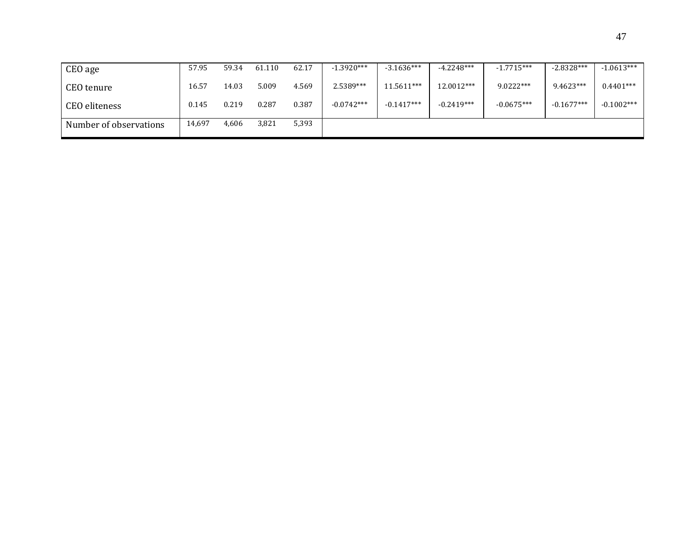| CEO age                | 57.95  | 59.34 | 61.110 | 62.17 | $-1.3920***$ | $-3.1636***$ | $-4.2248***$ | $-1.7715***$ | $-2.8328***$ | $-1.0613***$ |
|------------------------|--------|-------|--------|-------|--------------|--------------|--------------|--------------|--------------|--------------|
| CEO tenure             | 16.57  | 14.03 | 5.009  | 4.569 | 2.5389***    | 11.5611***   | 12.0012***   | $9.0222***$  | 9.4623***    | $0.4401***$  |
| <b>CEO</b> eliteness   | 0.145  | 0.219 | 0.287  | 0.387 | $-0.0742***$ | $-0.1417***$ | $-0.2419***$ | $-0.0675***$ | $-0.1677***$ | $-0.1002***$ |
| Number of observations | 14,697 | 4,606 | 3,821  | 5,393 |              |              |              |              |              |              |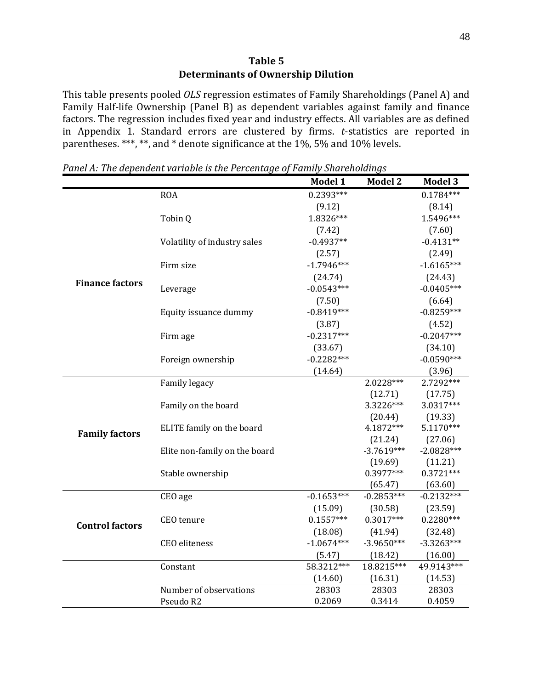This table presents pooled *OLS* regression estimates of Family Shareholdings (Panel A) and Family Half-life Ownership (Panel B) as dependent variables against family and finance factors. The regression includes fixed year and industry effects. All variables are as defined in Appendix 1. Standard errors are clustered by firms. *t*-statistics are reported in parentheses. \*\*\*, \*\*, and \* denote significance at the 1%, 5% and 10% levels.

|                        |                               | Model 1      | <b>Model 2</b>          | <b>Model 3</b>          |
|------------------------|-------------------------------|--------------|-------------------------|-------------------------|
|                        | <b>ROA</b>                    | $0.2393***$  |                         | $0.1784***$             |
|                        |                               | (9.12)       |                         | (8.14)                  |
|                        | Tobin Q                       | 1.8326***    |                         | 1.5496***               |
|                        |                               | (7.42)       |                         | (7.60)                  |
|                        | Volatility of industry sales  | $-0.4937**$  |                         | $-0.4131**$             |
|                        |                               | (2.57)       |                         | (2.49)                  |
|                        | Firm size                     | $-1.7946***$ |                         | $-1.6165***$            |
|                        |                               | (24.74)      |                         | (24.43)                 |
| <b>Finance factors</b> | Leverage                      | $-0.0543***$ |                         | $-0.0405***$            |
|                        |                               | (7.50)       |                         | (6.64)                  |
|                        | Equity issuance dummy         | $-0.8419***$ |                         | $-0.8259***$            |
|                        |                               | (3.87)       |                         | (4.52)                  |
|                        | Firm age                      | $-0.2317***$ |                         | $-0.2047***$            |
|                        |                               | (33.67)      |                         | (34.10)                 |
|                        | Foreign ownership             | $-0.2282***$ |                         | $-0.0590***$            |
|                        |                               | (14.64)      |                         | (3.96)                  |
|                        | Family legacy                 |              | 2.0228***               | 2.7292***               |
|                        |                               |              | (12.71)                 | (17.75)                 |
|                        | Family on the board           |              | 3.3226***               | 3.0317***               |
|                        |                               |              | (20.44)                 | (19.33)                 |
| <b>Family factors</b>  | ELITE family on the board     |              | 4.1872***               | $5.1170***$             |
|                        |                               |              | (21.24)                 | (27.06)                 |
|                        | Elite non-family on the board |              | $-3.7619***$            | $-2.0828***$            |
|                        |                               |              | (19.69)                 | (11.21)                 |
|                        | Stable ownership              |              | $0.3977***$             | $0.3721***$             |
|                        | CEO age                       | $-0.1653***$ | (65.47)<br>$-0.2853***$ | (63.60)<br>$-0.2132***$ |
|                        |                               | (15.09)      | (30.58)                 | (23.59)                 |
|                        | CEO tenure                    | $0.1557***$  | $0.3017***$             | $0.2280***$             |
| <b>Control factors</b> |                               | (18.08)      | (41.94)                 | (32.48)                 |
|                        | <b>CEO</b> eliteness          | $-1.0674***$ | $-3.9650***$            | $-3.3263***$            |
|                        |                               | (5.47)       | (18.42)                 | (16.00)                 |
|                        | Constant                      | 58.3212***   | 18.8215***              | 49.9143***              |
|                        |                               | (14.60)      | (16.31)                 | (14.53)                 |
|                        | Number of observations        | 28303        | 28303                   | 28303                   |
|                        | Pseudo R2                     | 0.2069       | 0.3414                  | 0.4059                  |
|                        |                               |              |                         |                         |

*Panel A: The dependent variable is the Percentage of Family Shareholdings*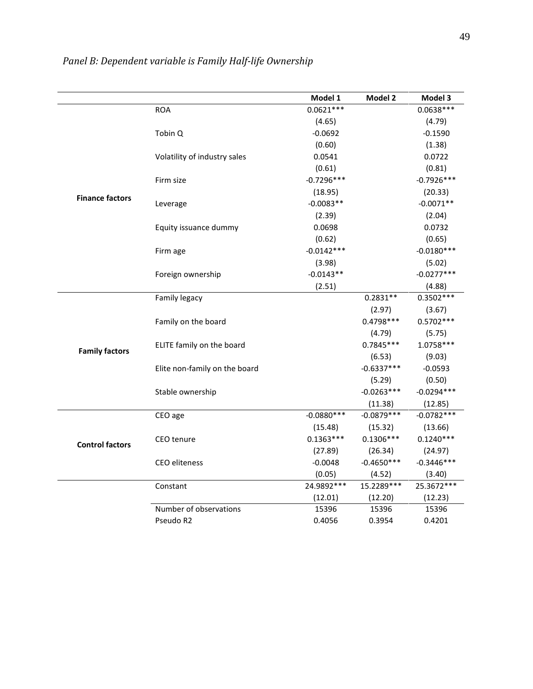|                        |                               | Model 1      | Model 2      | Model 3      |
|------------------------|-------------------------------|--------------|--------------|--------------|
|                        | <b>ROA</b>                    | $0.0621***$  |              | $0.0638***$  |
|                        |                               | (4.65)       |              | (4.79)       |
|                        | Tobin Q                       | $-0.0692$    |              | $-0.1590$    |
|                        |                               | (0.60)       |              | (1.38)       |
|                        | Volatility of industry sales  | 0.0541       |              | 0.0722       |
|                        |                               | (0.61)       |              | (0.81)       |
|                        | Firm size                     | $-0.7296***$ |              | $-0.7926***$ |
|                        |                               | (18.95)      |              | (20.33)      |
| <b>Finance factors</b> | Leverage                      | $-0.0083**$  |              | $-0.0071**$  |
|                        |                               | (2.39)       |              | (2.04)       |
|                        | Equity issuance dummy         | 0.0698       |              | 0.0732       |
|                        |                               | (0.62)       |              | (0.65)       |
|                        | Firm age                      | $-0.0142***$ |              | $-0.0180***$ |
|                        |                               | (3.98)       |              | (5.02)       |
|                        | Foreign ownership             | $-0.0143**$  |              | $-0.0277***$ |
|                        |                               | (2.51)       |              | (4.88)       |
|                        | Family legacy                 |              | $0.2831**$   | $0.3502***$  |
|                        |                               |              | (2.97)       | (3.67)       |
|                        | Family on the board           |              | $0.4798***$  | $0.5702***$  |
|                        |                               |              | (4.79)       | (5.75)       |
| <b>Family factors</b>  | ELITE family on the board     |              | $0.7845***$  | $1.0758***$  |
|                        |                               |              | (6.53)       | (9.03)       |
|                        | Elite non-family on the board |              | $-0.6337***$ | $-0.0593$    |
|                        |                               |              | (5.29)       | (0.50)       |
|                        | Stable ownership              |              | $-0.0263***$ | $-0.0294***$ |
|                        |                               |              | (11.38)      | (12.85)      |
|                        | CEO age                       | $-0.0880***$ | $-0.0879***$ | $-0.0782***$ |
|                        |                               | (15.48)      | (15.32)      | (13.66)      |
| <b>Control factors</b> | <b>CEO</b> tenure             | $0.1363***$  | $0.1306***$  | $0.1240***$  |
|                        |                               | (27.89)      | (26.34)      | (24.97)      |
|                        | <b>CEO</b> eliteness          | $-0.0048$    | $-0.4650***$ | $-0.3446***$ |
|                        |                               | (0.05)       | (4.52)       | (3.40)       |
|                        | Constant                      | 24.9892 ***  | 15.2289***   | 25.3672 ***  |
|                        |                               | (12.01)      | (12.20)      | (12.23)      |
|                        | Number of observations        | 15396        | 15396        | 15396        |
|                        | Pseudo R2                     | 0.4056       | 0.3954       | 0.4201       |

*Panel B: Dependent variable is Family Half-life Ownership*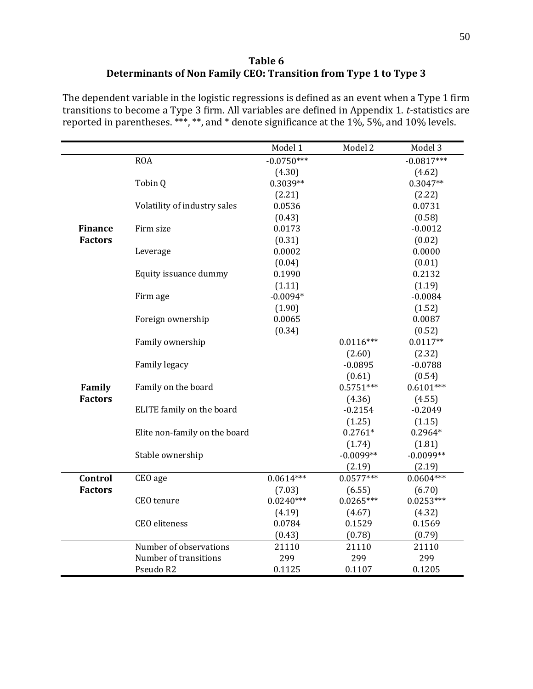#### **Table 6 Determinants of Non Family CEO: Transition from Type 1 to Type 3**

The dependent variable in the logistic regressions is defined as an event when a Type 1 firm transitions to become a Type 3 firm. All variables are defined in Appendix 1. *t*-statistics are reported in parentheses. \*\*\*, \*\*, and \* denote significance at the 1%, 5%, and 10% levels.

|                |                               | Model 1      | Model 2               | Model 3               |
|----------------|-------------------------------|--------------|-----------------------|-----------------------|
|                | <b>ROA</b>                    | $-0.0750***$ |                       | $-0.0817***$          |
|                |                               | (4.30)       |                       | (4.62)                |
|                | Tobin Q                       | $0.3039**$   |                       | $0.3047**$            |
|                |                               | (2.21)       |                       | (2.22)                |
|                | Volatility of industry sales  | 0.0536       |                       | 0.0731                |
|                |                               | (0.43)       |                       | (0.58)                |
| <b>Finance</b> | Firm size                     | 0.0173       |                       | $-0.0012$             |
| <b>Factors</b> |                               | (0.31)       |                       | (0.02)                |
|                | Leverage                      | 0.0002       |                       | 0.0000                |
|                |                               | (0.04)       |                       | (0.01)                |
|                | Equity issuance dummy         | 0.1990       |                       | 0.2132                |
|                |                               | (1.11)       |                       | (1.19)                |
|                | Firm age                      | $-0.0094*$   |                       | $-0.0084$             |
|                |                               | (1.90)       |                       | (1.52)                |
|                | Foreign ownership             | 0.0065       |                       | 0.0087                |
|                |                               | (0.34)       |                       | (0.52)                |
|                | Family ownership              |              | $0.0116***$           | $0.0117**$            |
|                |                               |              | (2.60)                | (2.32)                |
|                | Family legacy                 |              | $-0.0895$             | $-0.0788$             |
|                |                               |              | (0.61)                | (0.54)                |
| Family         | Family on the board           |              | $0.5751***$           | $0.6101***$           |
| <b>Factors</b> |                               |              | (4.36)                | (4.55)                |
|                | ELITE family on the board     |              | $-0.2154$             | $-0.2049$             |
|                |                               |              | (1.25)<br>$0.2761*$   | (1.15)                |
|                | Elite non-family on the board |              |                       | $0.2964*$             |
|                | Stable ownership              |              | (1.74)<br>$-0.0099**$ | (1.81)<br>$-0.0099**$ |
|                |                               |              | (2.19)                | (2.19)                |
| Control        | CEO age                       | $0.0614***$  | $0.0577***$           | $0.0604***$           |
| <b>Factors</b> |                               | (7.03)       | (6.55)                | (6.70)                |
|                | CEO tenure                    | $0.0240***$  | $0.0265***$           | $0.0253***$           |
|                |                               | (4.19)       | (4.67)                | (4.32)                |
|                | CEO eliteness                 | 0.0784       | 0.1529                | 0.1569                |
|                |                               | (0.43)       | (0.78)                | (0.79)                |
|                | Number of observations        | 21110        | 21110                 | 21110                 |
|                | Number of transitions         | 299          | 299                   | 299                   |
|                | Pseudo R2                     | 0.1125       | 0.1107                | 0.1205                |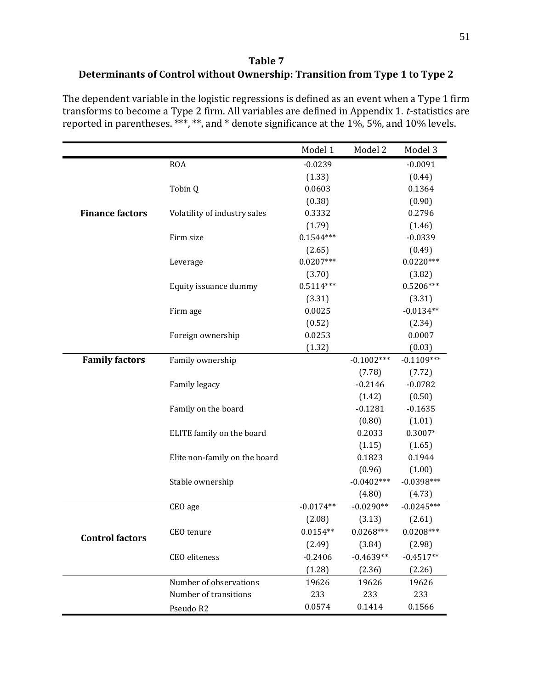## **Table 7 Determinants of Control without Ownership: Transition from Type 1 to Type 2**

The dependent variable in the logistic regressions is defined as an event when a Type 1 firm transforms to become a Type 2 firm. All variables are defined in Appendix 1. *t*-statistics are reported in parentheses. \*\*\*, \*\*, and \* denote significance at the 1%, 5%, and 10% levels.

|                        |                               | Model 1     | Model 2      | Model 3      |
|------------------------|-------------------------------|-------------|--------------|--------------|
|                        | <b>ROA</b>                    | $-0.0239$   |              | $-0.0091$    |
|                        |                               | (1.33)      |              | (0.44)       |
|                        | Tobin Q                       | 0.0603      |              | 0.1364       |
|                        |                               | (0.38)      |              | (0.90)       |
| <b>Finance factors</b> | Volatility of industry sales  | 0.3332      |              | 0.2796       |
|                        |                               | (1.79)      |              | (1.46)       |
|                        | Firm size                     | $0.1544***$ |              | $-0.0339$    |
|                        |                               | (2.65)      |              | (0.49)       |
|                        | Leverage                      | $0.0207***$ |              | $0.0220***$  |
|                        |                               | (3.70)      |              | (3.82)       |
|                        | Equity issuance dummy         | $0.5114***$ |              | $0.5206***$  |
|                        |                               | (3.31)      |              | (3.31)       |
|                        | Firm age                      | 0.0025      |              | $-0.0134**$  |
|                        |                               | (0.52)      |              | (2.34)       |
|                        | Foreign ownership             | 0.0253      |              | 0.0007       |
|                        |                               | (1.32)      |              | (0.03)       |
| <b>Family factors</b>  | Family ownership              |             | $-0.1002***$ | $-0.1109***$ |
|                        |                               |             | (7.78)       | (7.72)       |
|                        | Family legacy                 |             | $-0.2146$    | $-0.0782$    |
|                        |                               |             | (1.42)       | (0.50)       |
|                        | Family on the board           |             | $-0.1281$    | $-0.1635$    |
|                        |                               |             | (0.80)       | (1.01)       |
|                        | ELITE family on the board     |             | 0.2033       | $0.3007*$    |
|                        |                               |             | (1.15)       | (1.65)       |
|                        | Elite non-family on the board |             | 0.1823       | 0.1944       |
|                        |                               |             | (0.96)       | (1.00)       |
|                        | Stable ownership              |             | $-0.0402***$ | $-0.0398***$ |
|                        |                               |             | (4.80)       | (4.73)       |
|                        | CEO age                       | $-0.0174**$ | $-0.0290**$  | $-0.0245***$ |
|                        |                               | (2.08)      | (3.13)       | (2.61)       |
| <b>Control factors</b> | CEO tenure                    | $0.0154**$  | $0.0268***$  | $0.0208***$  |
|                        |                               | (2.49)      | (3.84)       | (2.98)       |
|                        | CEO eliteness                 | $-0.2406$   | $-0.4639**$  | $-0.4517**$  |
|                        |                               | (1.28)      | (2.36)       | (2.26)       |
|                        | Number of observations        | 19626       | 19626        | 19626        |
|                        | Number of transitions         | 233         | 233          | 233          |
|                        | Pseudo R2                     | 0.0574      | 0.1414       | 0.1566       |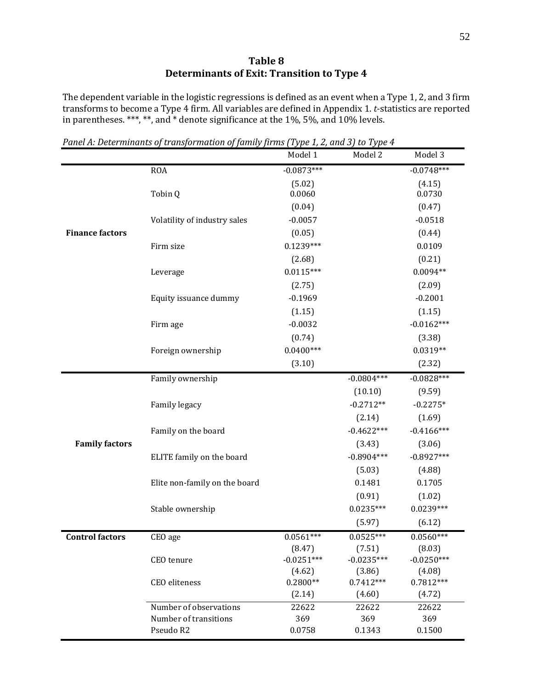#### **Table 8 Determinants of Exit: Transition to Type 4**

The dependent variable in the logistic regressions is defined as an event when a Type 1, 2, and 3 firm transforms to become a Type 4 firm. All variables are defined in Appendix 1. *t*-statistics are reported in parentheses. \*\*\*, \*\*, and \* denote significance at the 1%, 5%, and 10% levels.

|                        |                               | Model 1      | Model 2      | Model 3      |
|------------------------|-------------------------------|--------------|--------------|--------------|
|                        | <b>ROA</b>                    | $-0.0873***$ |              | $-0.0748***$ |
|                        |                               | (5.02)       |              | (4.15)       |
|                        | Tobin Q                       | 0.0060       |              | 0.0730       |
|                        |                               | (0.04)       |              | (0.47)       |
|                        | Volatility of industry sales  | $-0.0057$    |              | $-0.0518$    |
| <b>Finance factors</b> |                               | (0.05)       |              | (0.44)       |
|                        | Firm size                     | $0.1239***$  |              | 0.0109       |
|                        |                               | (2.68)       |              | (0.21)       |
|                        | Leverage                      | $0.0115***$  |              | $0.0094**$   |
|                        |                               | (2.75)       |              | (2.09)       |
|                        | Equity issuance dummy         | $-0.1969$    |              | $-0.2001$    |
|                        |                               | (1.15)       |              | (1.15)       |
|                        | Firm age                      | $-0.0032$    |              | $-0.0162***$ |
|                        |                               | (0.74)       |              | (3.38)       |
|                        | Foreign ownership             | $0.0400***$  |              | $0.0319**$   |
|                        |                               | (3.10)       |              | (2.32)       |
|                        | Family ownership              |              | $-0.0804***$ | $-0.0828***$ |
|                        |                               |              | (10.10)      | (9.59)       |
|                        | Family legacy                 |              | $-0.2712**$  | $-0.2275*$   |
|                        |                               |              | (2.14)       | (1.69)       |
|                        | Family on the board           |              | $-0.4622***$ | $-0.4166***$ |
| <b>Family factors</b>  |                               |              | (3.43)       | (3.06)       |
|                        | ELITE family on the board     |              | $-0.8904***$ | $-0.8927***$ |
|                        |                               |              | (5.03)       | (4.88)       |
|                        | Elite non-family on the board |              | 0.1481       | 0.1705       |
|                        |                               |              | (0.91)       | (1.02)       |
|                        | Stable ownership              |              | $0.0235***$  | $0.0239***$  |
|                        |                               |              | (5.97)       | (6.12)       |
| <b>Control factors</b> | CEO age                       | $0.0561***$  | $0.0525***$  | $0.0560***$  |
|                        |                               | (8.47)       | (7.51)       | (8.03)       |
|                        | CEO tenure                    | $-0.0251***$ | $-0.0235***$ | $-0.0250***$ |
|                        |                               | (4.62)       | (3.86)       | (4.08)       |
|                        | CEO eliteness                 | $0.2800**$   | $0.7412***$  | $0.7812***$  |
|                        |                               | (2.14)       | (4.60)       | (4.72)       |
|                        | Number of observations        | 22622        | 22622        | 22622        |
|                        | Number of transitions         | 369          | 369          | 369          |
|                        | Pseudo R2                     | 0.0758       | 0.1343       | 0.1500       |

*Panel A: Determinants of transformation of family firms (Type 1, 2, and 3) to Type 4*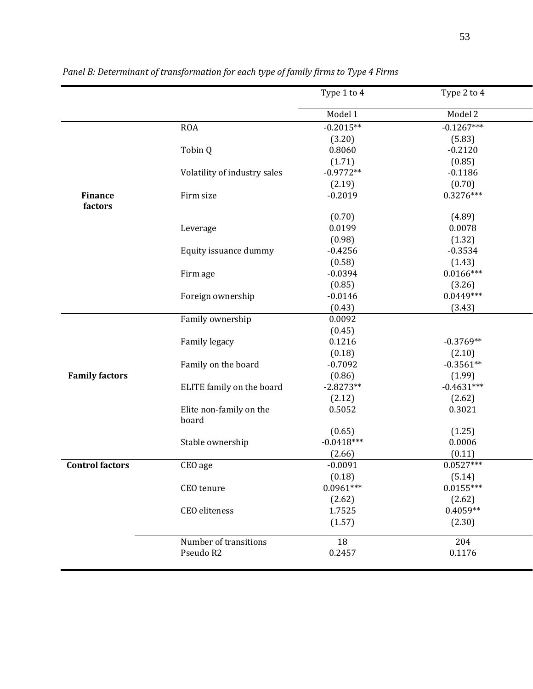|                           |                                  | Type 1 to 4  | Type 2 to 4  |
|---------------------------|----------------------------------|--------------|--------------|
|                           |                                  | Model 1      | Model 2      |
|                           | <b>ROA</b>                       | $-0.2015**$  | $-0.1267***$ |
|                           |                                  | (3.20)       | (5.83)       |
|                           | Tobin Q                          | 0.8060       | $-0.2120$    |
|                           |                                  | (1.71)       | (0.85)       |
|                           | Volatility of industry sales     | $-0.9772**$  | $-0.1186$    |
|                           |                                  | (2.19)       | (0.70)       |
| <b>Finance</b><br>factors | Firm size                        | $-0.2019$    | $0.3276***$  |
|                           |                                  | (0.70)       | (4.89)       |
|                           | Leverage                         | 0.0199       | 0.0078       |
|                           |                                  | (0.98)       | (1.32)       |
|                           | Equity issuance dummy            | $-0.4256$    | $-0.3534$    |
|                           |                                  | (0.58)       | (1.43)       |
|                           | Firm age                         | $-0.0394$    | $0.0166***$  |
|                           |                                  | (0.85)       | (3.26)       |
|                           | Foreign ownership                | $-0.0146$    | $0.0449***$  |
|                           |                                  | (0.43)       | (3.43)       |
|                           | Family ownership                 | 0.0092       |              |
|                           |                                  | (0.45)       |              |
|                           | Family legacy                    | 0.1216       | $-0.3769**$  |
|                           |                                  | (0.18)       | (2.10)       |
|                           | Family on the board              | $-0.7092$    | $-0.3561**$  |
| <b>Family factors</b>     |                                  | (0.86)       | (1.99)       |
|                           | ELITE family on the board        | $-2.8273**$  | $-0.4631***$ |
|                           |                                  | (2.12)       | (2.62)       |
|                           | Elite non-family on the<br>board | 0.5052       | 0.3021       |
|                           |                                  | (0.65)       | (1.25)       |
|                           | Stable ownership                 | $-0.0418***$ | 0.0006       |
|                           |                                  | (2.66)       | (0.11)       |
| <b>Control factors</b>    | CEO age                          | $-0.0091$    | $0.0527***$  |
|                           |                                  | (0.18)       | (5.14)       |
|                           | CEO tenure                       | $0.0961***$  | $0.0155***$  |
|                           |                                  | (2.62)       | (2.62)       |
|                           | CEO eliteness                    | 1.7525       | $0.4059**$   |
|                           |                                  | (1.57)       | (2.30)       |
|                           | Number of transitions            | 18           | 204          |
|                           | Pseudo R2                        | 0.2457       | 0.1176       |
|                           |                                  |              |              |

*Panel B: Determinant of transformation for each type of family firms to Type 4 Firms*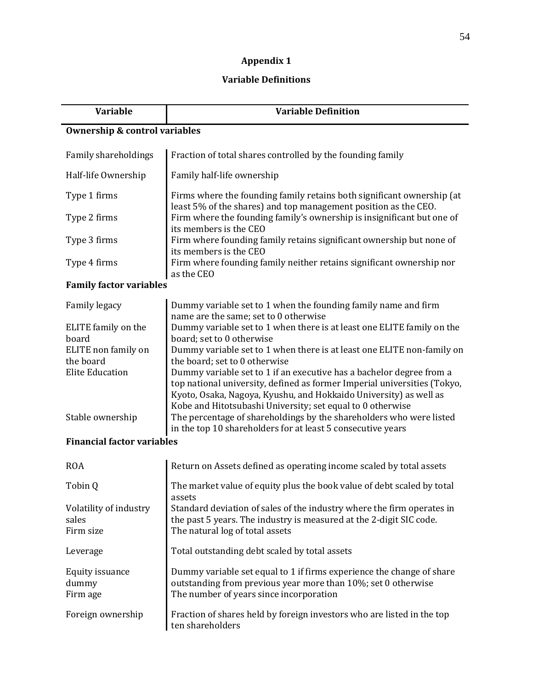# **Appendix 1**

## **Variable Definitions**

| <b>Variable</b>                          | <b>Variable Definition</b>                                                                                                                                                                                  |  |  |  |  |
|------------------------------------------|-------------------------------------------------------------------------------------------------------------------------------------------------------------------------------------------------------------|--|--|--|--|
| <b>Ownership &amp; control variables</b> |                                                                                                                                                                                                             |  |  |  |  |
| Family shareholdings                     | Fraction of total shares controlled by the founding family                                                                                                                                                  |  |  |  |  |
| Half-life Ownership                      | Family half-life ownership                                                                                                                                                                                  |  |  |  |  |
| Type 1 firms                             | Firms where the founding family retains both significant ownership (at<br>least 5% of the shares) and top management position as the CEO.                                                                   |  |  |  |  |
| Type 2 firms                             | Firm where the founding family's ownership is insignificant but one of<br>its members is the CEO                                                                                                            |  |  |  |  |
| Type 3 firms                             | Firm where founding family retains significant ownership but none of<br>its members is the CEO                                                                                                              |  |  |  |  |
| Type 4 firms                             | Firm where founding family neither retains significant ownership nor<br>as the CEO                                                                                                                          |  |  |  |  |
| <b>Family factor variables</b>           |                                                                                                                                                                                                             |  |  |  |  |
| <b>Family legacy</b>                     | Dummy variable set to 1 when the founding family name and firm<br>name are the same; set to 0 otherwise                                                                                                     |  |  |  |  |
| ELITE family on the<br>board             | Dummy variable set to 1 when there is at least one ELITE family on the<br>board; set to 0 otherwise                                                                                                         |  |  |  |  |
| ELITE non family on<br>the board         | Dummy variable set to 1 when there is at least one ELITE non-family on<br>the board; set to 0 otherwise                                                                                                     |  |  |  |  |
| <b>Elite Education</b>                   | Dummy variable set to 1 if an executive has a bachelor degree from a                                                                                                                                        |  |  |  |  |
|                                          | top national university, defined as former Imperial universities (Tokyo,<br>Kyoto, Osaka, Nagoya, Kyushu, and Hokkaido University) as well as<br>Kobe and Hitotsubashi University; set equal to 0 otherwise |  |  |  |  |
| Stable ownership                         | The percentage of shareholdings by the shareholders who were listed<br>in the top 10 shareholders for at least 5 consecutive years                                                                          |  |  |  |  |
| <b>Financial factor variables</b>        |                                                                                                                                                                                                             |  |  |  |  |
| <b>ROA</b>                               | Return on Assets defined as operating income scaled by total assets                                                                                                                                         |  |  |  |  |
| Tobin Q                                  | The market value of equity plus the book value of debt scaled by total<br>assets                                                                                                                            |  |  |  |  |
| Volatility of industry<br>sales          | Standard deviation of sales of the industry where the firm operates in<br>the past 5 years. The industry is measured at the 2-digit SIC code.                                                               |  |  |  |  |
| Firm size                                | The natural log of total assets                                                                                                                                                                             |  |  |  |  |
| Leverage                                 | Total outstanding debt scaled by total assets                                                                                                                                                               |  |  |  |  |
| Equity issuance<br>dummy<br>Firm age     | Dummy variable set equal to 1 if firms experience the change of share<br>outstanding from previous year more than 10%; set 0 otherwise<br>The number of years since incorporation                           |  |  |  |  |
| Foreign ownership                        | Fraction of shares held by foreign investors who are listed in the top<br>ten shareholders                                                                                                                  |  |  |  |  |